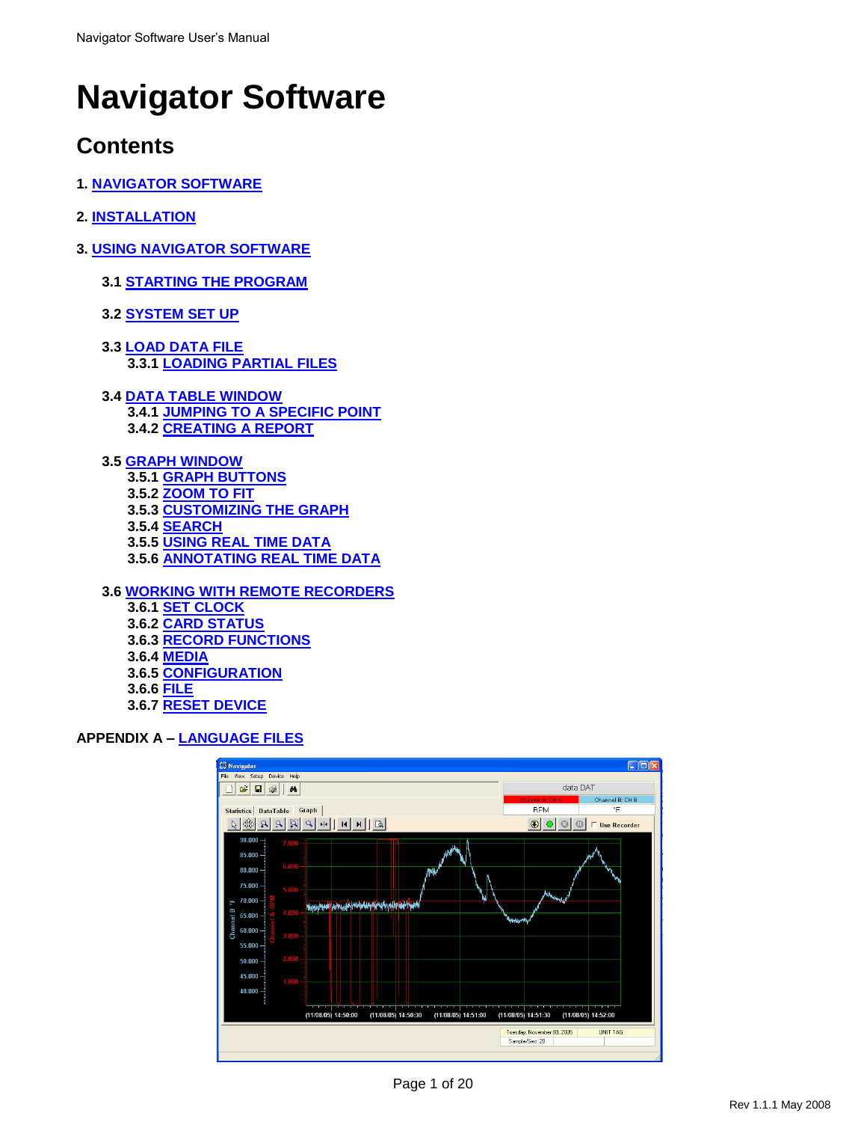# **Navigator Software**

# **Contents**

- **1. NAVIGATOR SOFTWARE**
- **2. INSTALLATION**
- **3. USING NAVIGATOR SOFTWARE**
	- **3.1 STARTING THE PROGRAM**
	- **3.2 SYSTEM SET UP**
	- **3.3 LOAD DATA FILE 3.3.1 LOADING PARTIAL FILES**
	- **3.4 DATA TABLE WINDOW 3.4.1 JUMPING TO A SPECIFIC POINT 3.4.2 CREATING A REPORT**
	- **3.5 GRAPH WINDOW 3.5.1 GRAPH BUTTONS 3.5.2 ZOOM TO FIT 3.5.3 CUSTOMIZING THE GRAPH 3.5.4 SEARCH 3.5.5 USING REAL TIME DATA 3.5.6 ANNOTATING REAL TIME DATA**

**3.6 WORKING WITH REMOTE RECORDERS 3.6.1 SET CLOCK 3.6.2 CARD STATUS 3.6.3 RECORD FUNCTIONS**

- **3.6.4 MEDIA 3.6.5 CONFIGURATION**
- **3.6.6 FILE**
- **3.6.7 RESET DEVICE**

# **APPENDIX A – LANGUAGE FILES**

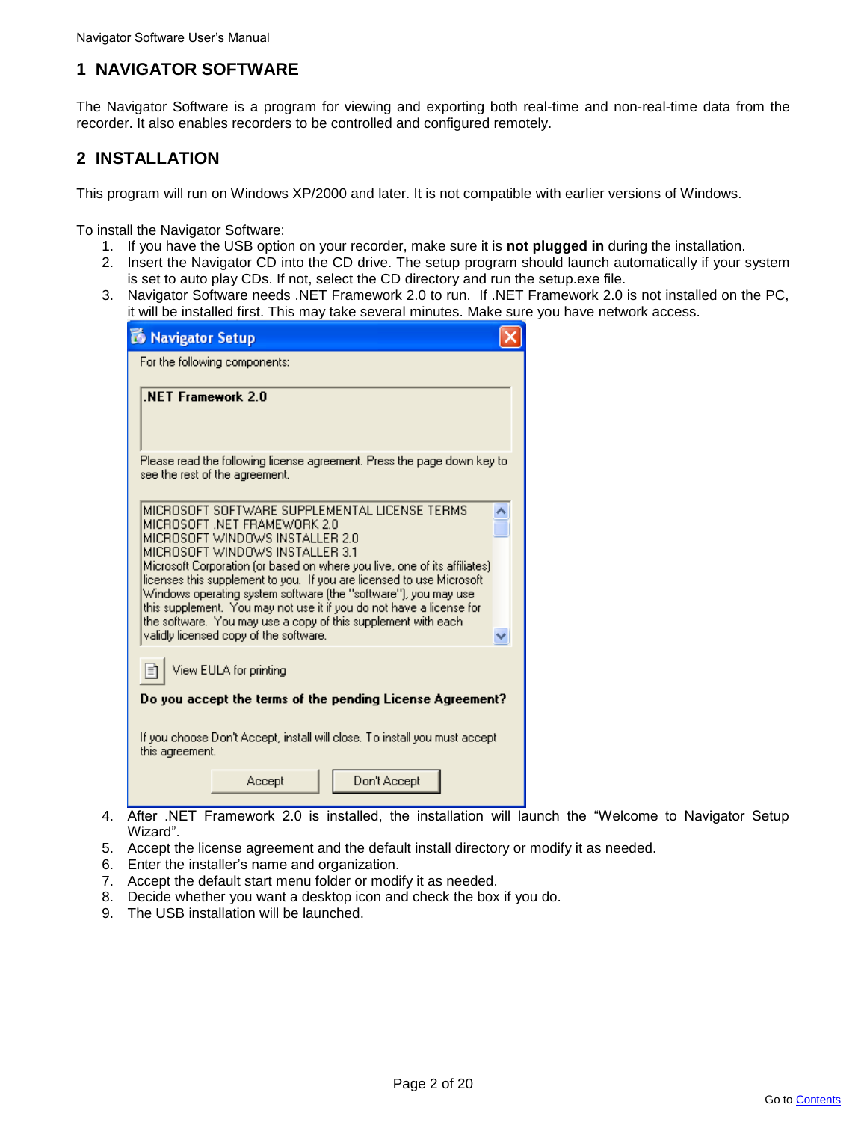# **1 NAVIGATOR SOFTWARE**

The Navigator Software is a program for viewing and exporting both real-time and non-real-time data from the recorder. It also enables recorders to be controlled and configured remotely.

# **2 INSTALLATION**

This program will run on Windows XP/2000 and later. It is not compatible with earlier versions of Windows.

To install the Navigator Software:

- 1. If you have the USB option on your recorder, make sure it is **not plugged in** during the installation.
- 2. Insert the Navigator CD into the CD drive. The setup program should launch automatically if your system is set to auto play CDs. If not, select the CD directory and run the setup.exe file.
- 3. Navigator Software needs .NET Framework 2.0 to run. If .NET Framework 2.0 is not installed on the PC, it will be installed first. This may take several minutes. Make sure you have network access.

| <b>R</b> Navigator Setup                                                                                                                                                                                                                                                                                                                                                                                                                                                                                                                                          |  |
|-------------------------------------------------------------------------------------------------------------------------------------------------------------------------------------------------------------------------------------------------------------------------------------------------------------------------------------------------------------------------------------------------------------------------------------------------------------------------------------------------------------------------------------------------------------------|--|
| For the following components:                                                                                                                                                                                                                                                                                                                                                                                                                                                                                                                                     |  |
| .NET Framework 2.0                                                                                                                                                                                                                                                                                                                                                                                                                                                                                                                                                |  |
| Please read the following license agreement. Press the page down key to<br>see the rest of the agreement.                                                                                                                                                                                                                                                                                                                                                                                                                                                         |  |
| MICROSOFT SOFTWARE SUPPLEMENTAL LICENSE TERMS<br>MICROSOFT .NET FRAMEWORK 2.0<br>MICROSOFT WINDOWS INSTALLER 2.0<br>MICROSOFT WINDOWS INSTALLER 3.1<br>Microsoft Corporation (or based on where you live, one of its affiliates).<br>licenses this supplement to you. If you are licensed to use Microsoft<br>Windows operating system software (the "software"), you may use.<br>this supplement. You may not use it if you do not have a license for<br>the software. You may use a copy of this supplement with each<br>validly licensed copy of the software. |  |
| View EULA for printing                                                                                                                                                                                                                                                                                                                                                                                                                                                                                                                                            |  |
| Do you accept the terms of the pending License Agreement?                                                                                                                                                                                                                                                                                                                                                                                                                                                                                                         |  |
| If you choose Don't Accept, install will close. To install you must accept<br>this agreement.                                                                                                                                                                                                                                                                                                                                                                                                                                                                     |  |
| Don't Accept<br>Accept                                                                                                                                                                                                                                                                                                                                                                                                                                                                                                                                            |  |
| After<br>NET Framework 2.0 is installed.<br>the installation will                                                                                                                                                                                                                                                                                                                                                                                                                                                                                                 |  |

- 4. After .NET Framework 2.0 is installed, the installation will launch the "Welcome to Navigator Setup Wizard".
- 5. Accept the license agreement and the default install directory or modify it as needed.
- 6. Enter the installer"s name and organization.
- 7. Accept the default start menu folder or modify it as needed.
- 8. Decide whether you want a desktop icon and check the box if you do.
- 9. The USB installation will be launched.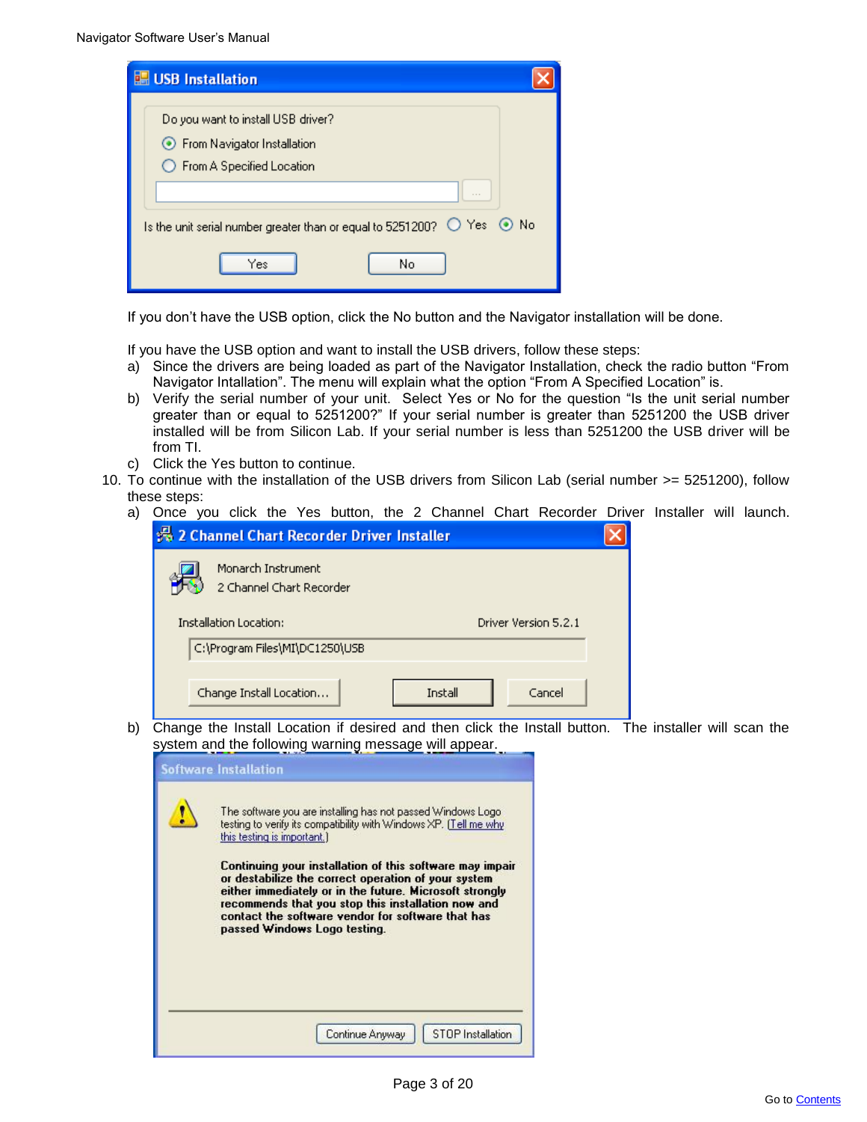| USB Installation                                                                                          |  |
|-----------------------------------------------------------------------------------------------------------|--|
| Do you want to install USB driver?<br>● From Navigator Installation<br>◯ From A Specified Location        |  |
| Is the unit serial number greater than or equal to 5251200? $\bigcirc$ Yes $\circledcirc$ No<br>No<br>Yes |  |

If you don"t have the USB option, click the No button and the Navigator installation will be done.

If you have the USB option and want to install the USB drivers, follow these steps:

- a) Since the drivers are being loaded as part of the Navigator Installation, check the radio button "From Navigator Intallation". The menu will explain what the option "From A Specified Location" is.
- b) Verify the serial number of your unit. Select Yes or No for the question "Is the unit serial number greater than or equal to 5251200?" If your serial number is greater than 5251200 the USB driver installed will be from Silicon Lab. If your serial number is less than 5251200 the USB driver will be from TI.
- c) Click the Yes button to continue.
- 10. To continue with the installation of the USB drivers from Silicon Lab (serial number >= 5251200), follow these steps:
	- a) Once you click the Yes button, the 2 Channel Chart Recorder Driver Installer will launch.

| 2 Channel Chart Recorder Driver Installer      |         |                      |  |
|------------------------------------------------|---------|----------------------|--|
| Monarch Instrument<br>2 Channel Chart Recorder |         |                      |  |
| Installation Location:                         |         | Driver Version 5.2.1 |  |
| C:\Program Files\MI\DC1250\USB                 |         |                      |  |
| Change Install Location                        | Install | Cancel               |  |

b) Change the Install Location if desired and then click the Install button. The installer will scan the system and the following warning message will appear.

| <b>Software Installation</b><br>The software you are installing has not passed Windows Logo<br>testing to verify its compatibility with Windows XP. (Tell me why<br>this testing is important.)<br>Continuing your installation of this software may impair<br>or destabilize the correct operation of your system<br>either immediately or in the future. Microsoft strongly<br>recommends that you stop this installation now and<br>contact the software vendor for software that has<br>passed Windows Logo testing. |
|--------------------------------------------------------------------------------------------------------------------------------------------------------------------------------------------------------------------------------------------------------------------------------------------------------------------------------------------------------------------------------------------------------------------------------------------------------------------------------------------------------------------------|
| <b>STOP</b> Installation<br>Continue Anyway                                                                                                                                                                                                                                                                                                                                                                                                                                                                              |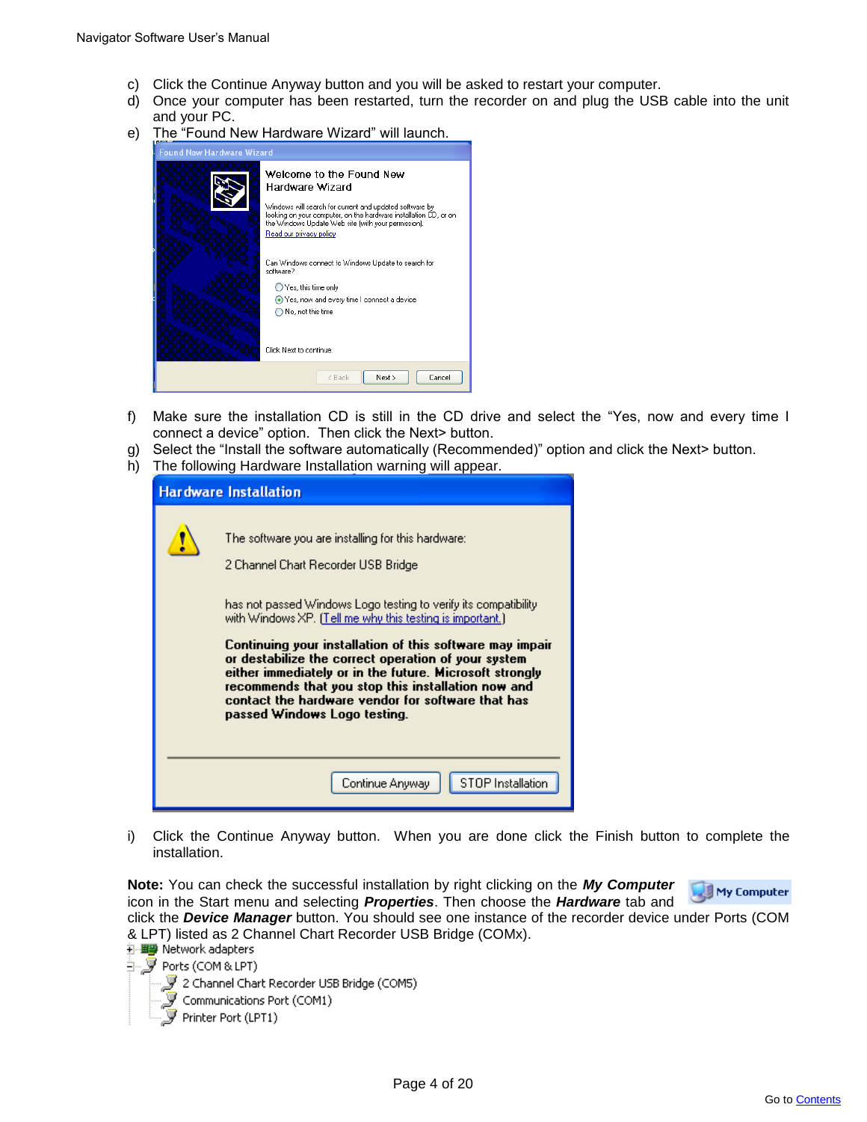- c) Click the Continue Anyway button and you will be asked to restart your computer.
- d) Once your computer has been restarted, turn the recorder on and plug the USB cable into the unit and your PC.
- e) The "Found New Hardware Wizard" will launch.

| <b>Found New Hardware Wizard</b> |                                                                                                                                                                                                                                                              |
|----------------------------------|--------------------------------------------------------------------------------------------------------------------------------------------------------------------------------------------------------------------------------------------------------------|
|                                  | Welcome to the Found New<br>Hardware Wizard<br>Windows will search for current and updated software by<br>looking on your computer, on the hardware installation CD, or on<br>the Windows Update Web site (with your permission).<br>Read our privacy policy |
|                                  | Can Windows connect to Windows Update to search for<br>software?<br>◯ Yes, this time only                                                                                                                                                                    |
|                                  | ⊙ Yes, now and every time I connect a device<br>$\bigcap$ No. not this time                                                                                                                                                                                  |
|                                  | Click Next to continue.                                                                                                                                                                                                                                      |
|                                  | < Back<br>Next ><br>Cancel                                                                                                                                                                                                                                   |

- f) Make sure the installation CD is still in the CD drive and select the "Yes, now and every time I connect a device" option. Then click the Next> button.
- g) Select the "Install the software automatically (Recommended)" option and click the Next> button.
- h) The following Hardware Installation warning will appear.

| <b>Hardware Installation</b>                                                                                                                                                                                                                                                                                                                                                                                                                                                                                                                       |
|----------------------------------------------------------------------------------------------------------------------------------------------------------------------------------------------------------------------------------------------------------------------------------------------------------------------------------------------------------------------------------------------------------------------------------------------------------------------------------------------------------------------------------------------------|
| The software you are installing for this hardware:<br>2 Channel Chart Recorder USB Bridge<br>has not passed Windows Logo testing to verify its compatibility<br>with Windows XP. (Tell me why this testing is important.)<br>Continuing your installation of this software may impair<br>or destabilize the correct operation of your system<br>either immediately or in the future. Microsoft strongly<br>recommends that you stop this installation now and<br>contact the hardware vendor for software that has<br>passed Windows Logo testing. |
| STOP Installation<br>Continue Anyway                                                                                                                                                                                                                                                                                                                                                                                                                                                                                                               |

i) Click the Continue Anyway button. When you are done click the Finish button to complete the installation.

**Note:** You can check the successful installation by right clicking on the *My Computer* My Computer icon in the Start menu and selecting *Properties*. Then choose the *Hardware* tab and click the *Device Manager* button. You should see one instance of the recorder device under Ports (COM

& LPT) listed as 2 Channel Chart Recorder USB Bridge (COMx).<br>主理學 Network adapters

∃--<mark>罗</mark> Ports (COM & LPT) 、『 2 Channel Chart Recorder USB Bridge (COM5)<br>『 Communications Port (COM1)  $\widetilde{\mathcal{F}}$  Printer Port (LPT1)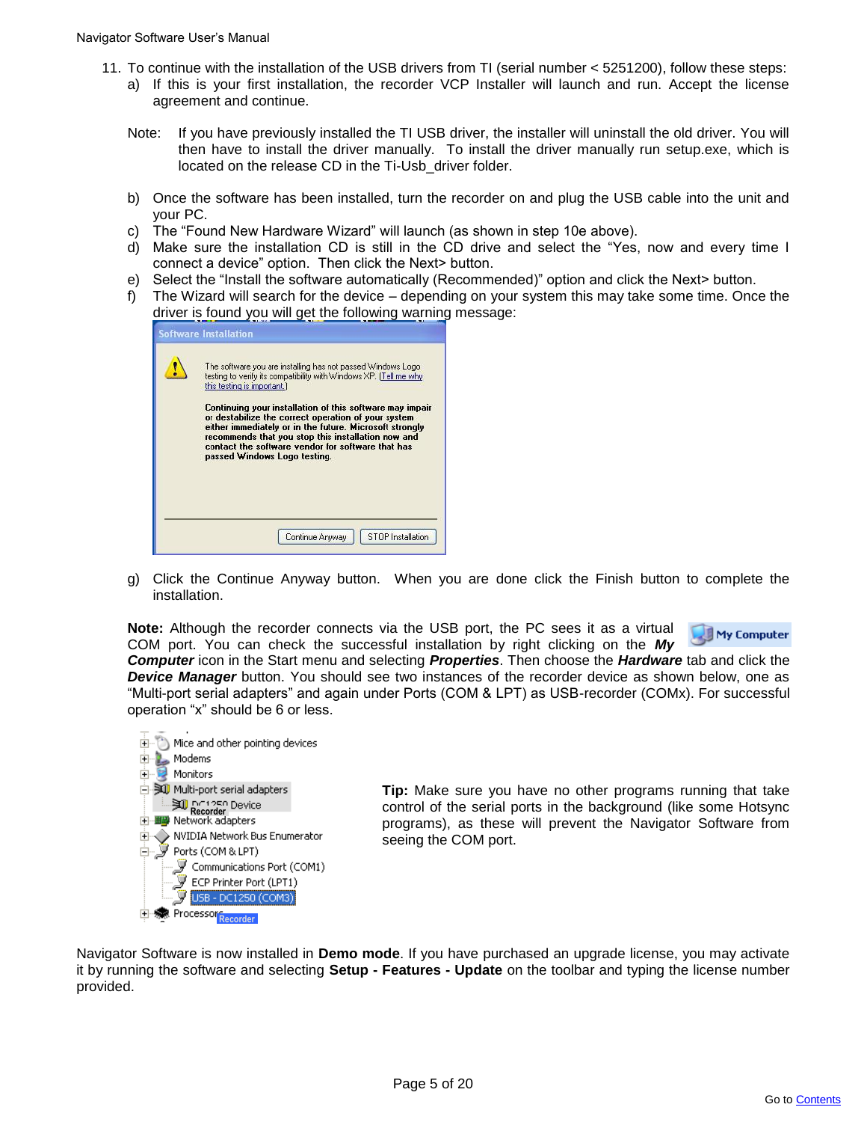- 11. To continue with the installation of the USB drivers from TI (serial number < 5251200), follow these steps: a) If this is your first installation, the recorder VCP Installer will launch and run. Accept the license agreement and continue.
	- Note: If you have previously installed the TI USB driver, the installer will uninstall the old driver. You will then have to install the driver manually. To install the driver manually run setup.exe, which is located on the release CD in the Ti-Usb\_driver folder.
	- b) Once the software has been installed, turn the recorder on and plug the USB cable into the unit and your PC.
	- c) The "Found New Hardware Wizard" will launch (as shown in step 10e above).
	- d) Make sure the installation CD is still in the CD drive and select the "Yes, now and every time I connect a device" option. Then click the Next> button.
	- e) Select the "Install the software automatically (Recommended)" option and click the Next> button.
	- f) The Wizard will search for the device depending on your system this may take some time. Once the driver is found you will get the following warning message:

|  | The software you are installing has not passed Windows Logo<br>testing to verify its compatibility with Windows XP. (Tell me why<br>this testing is important.)<br>Continuing your installation of this software may impair<br>or destabilize the correct operation of your system<br>either immediately or in the future. Microsoft strongly<br>recommends that you stop this installation now and<br>contact the software vendor for software that has |
|--|----------------------------------------------------------------------------------------------------------------------------------------------------------------------------------------------------------------------------------------------------------------------------------------------------------------------------------------------------------------------------------------------------------------------------------------------------------|
|  | passed Windows Logo testing.                                                                                                                                                                                                                                                                                                                                                                                                                             |
|  |                                                                                                                                                                                                                                                                                                                                                                                                                                                          |

g) Click the Continue Anyway button. When you are done click the Finish button to complete the installation.

**Note:** Although the recorder connects via the USB port, the PC sees it as a virtual COM port. You can check the successful installation by right clicking on the *My* 



*Computer* icon in the Start menu and selecting *Properties*. Then choose the *Hardware* tab and click the *Device Manager* button. You should see two instances of the recorder device as shown below, one as "Multi-port serial adapters" and again under Ports (COM & LPT) as USB-recorder (COMx). For successful operation "x" should be 6 or less.



**Tip:** Make sure you have no other programs running that take control of the serial ports in the background (like some Hotsync programs), as these will prevent the Navigator Software from seeing the COM port.

Navigator Software is now installed in **Demo mode**. If you have purchased an upgrade license, you may activate it by running the software and selecting **Setup - Features - Update** on the toolbar and typing the license number provided.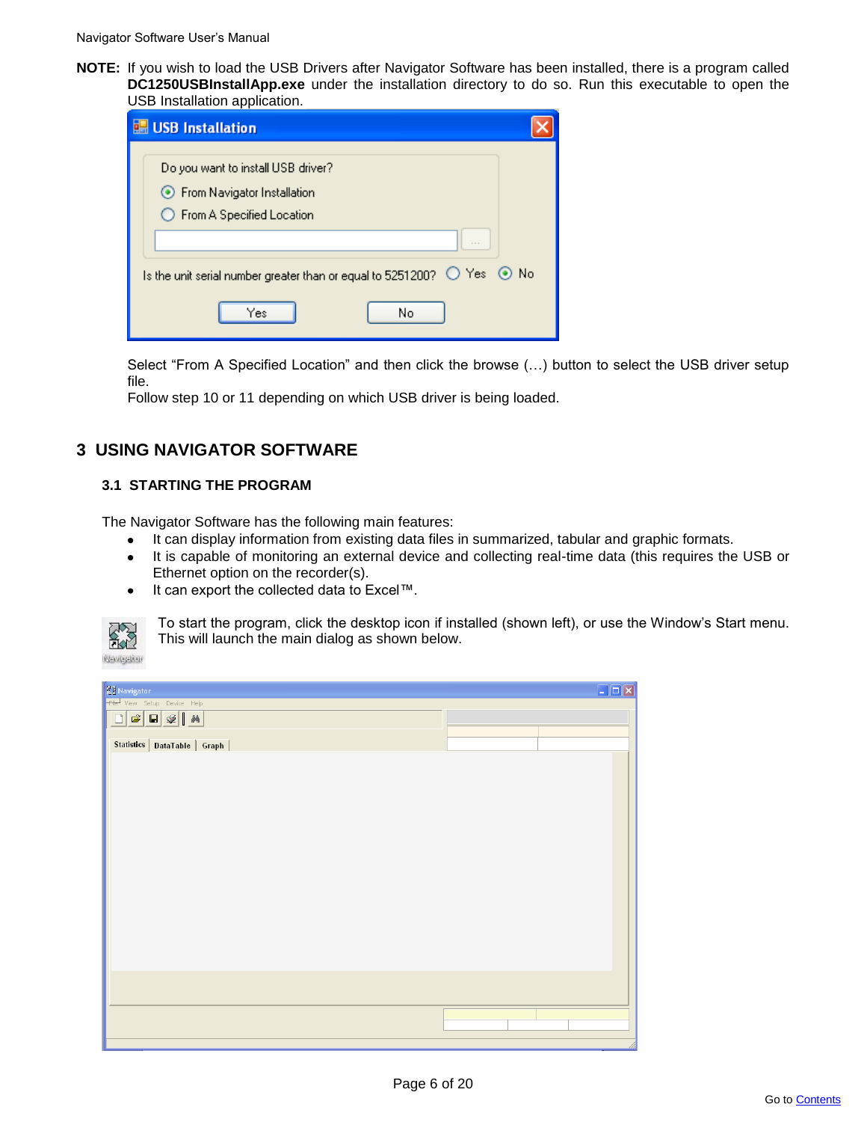**NOTE:** If you wish to load the USB Drivers after Navigator Software has been installed, there is a program called **DC1250USBInstallApp.exe** under the installation directory to do so. Run this executable to open the USB Installation application.

| <b>ISB</b> Installation                                                                                              |  |
|----------------------------------------------------------------------------------------------------------------------|--|
| Do you want to install USB driver?<br>◯ From Navigator Installation<br>◯ From A Specified Location                   |  |
| $- - -$<br>Is the unit serial number greater than or equal to 5251200? $\bigcirc$ Yes $\circledcirc$ No<br>No<br>Yes |  |

Select "From A Specified Location" and then click the browse (...) button to select the USB driver setup file.

Follow step 10 or 11 depending on which USB driver is being loaded.

# **3 USING NAVIGATOR SOFTWARE**

# **3.1 STARTING THE PROGRAM**

The Navigator Software has the following main features:

- It can display information from existing data files in summarized, tabular and graphic formats.  $\bullet$
- It is capable of monitoring an external device and collecting real-time data (this requires the USB or  $\bullet$ Ethernet option on the recorder(s).
- It can export the collected data to Excel™.  $\bullet$



To start the program, click the desktop icon if installed (shown left), or use the Window"s Start menu. This will launch the main dialog as shown below.

| <b>Ky</b> Navigator                                                                                                                                                                                            | $\Box$ o $\times$ |
|----------------------------------------------------------------------------------------------------------------------------------------------------------------------------------------------------------------|-------------------|
| Tile View Setup Device Help                                                                                                                                                                                    |                   |
| $\boxed{\textcolor{red}{\square}\textcolor{blue}{\bm{\mathfrak{S}}}}\textcolor{red}{\bm{\mathfrak{Q}}}\textcolor{red}{\bm{\mathfrak{Q}}}\textcolor{red}{\bm{\mathfrak{M}}}\textcolor{red}{\bm{\mathfrak{M}}}}$ |                   |
| Statistics   DataTable   Graph                                                                                                                                                                                 |                   |
|                                                                                                                                                                                                                |                   |
|                                                                                                                                                                                                                |                   |
|                                                                                                                                                                                                                |                   |
|                                                                                                                                                                                                                |                   |
|                                                                                                                                                                                                                |                   |
|                                                                                                                                                                                                                |                   |
|                                                                                                                                                                                                                |                   |
|                                                                                                                                                                                                                |                   |
|                                                                                                                                                                                                                |                   |
|                                                                                                                                                                                                                |                   |
|                                                                                                                                                                                                                |                   |
|                                                                                                                                                                                                                |                   |
|                                                                                                                                                                                                                |                   |
|                                                                                                                                                                                                                |                   |
|                                                                                                                                                                                                                |                   |
|                                                                                                                                                                                                                |                   |
|                                                                                                                                                                                                                |                   |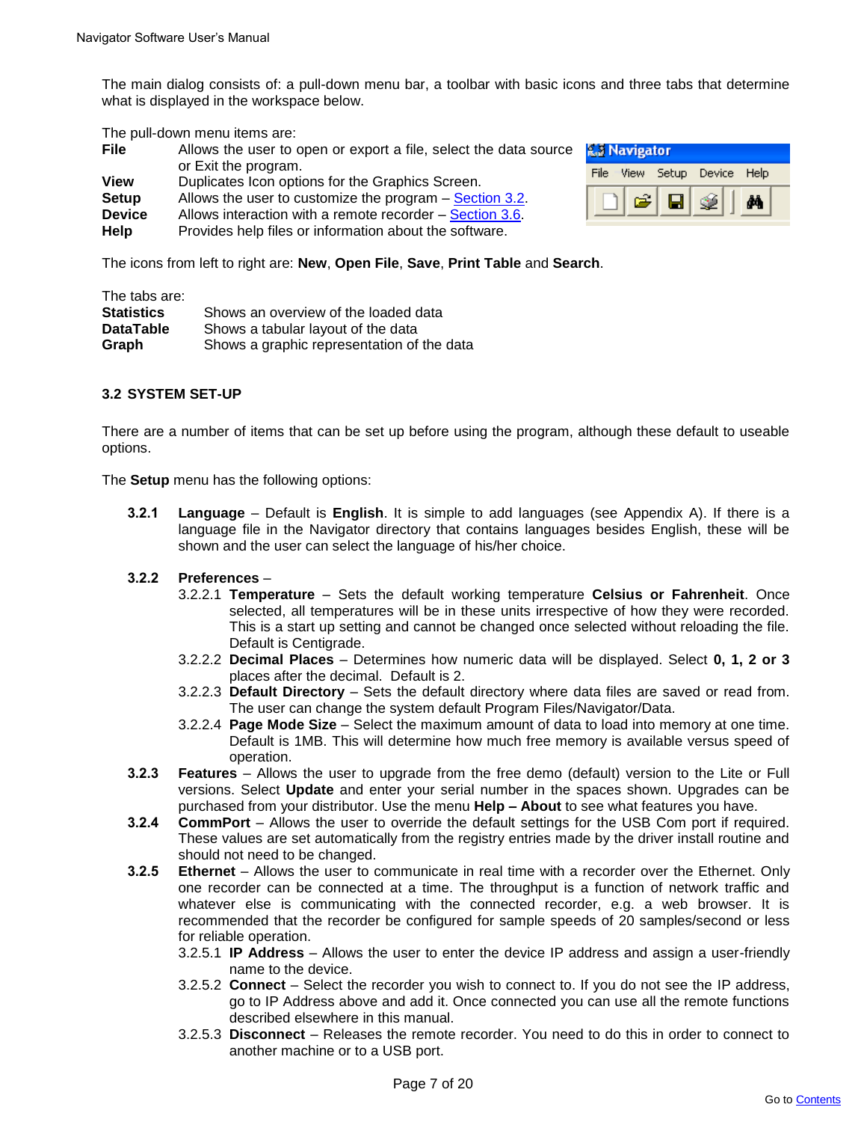The main dialog consists of: a pull-down menu bar, a toolbar with basic icons and three tabs that determine what is displayed in the workspace below.

The pull-down menu items are:

| <b>File</b>   | Allows the user to open or export a file, select the data source |
|---------------|------------------------------------------------------------------|
|               | or Exit the program.                                             |
| <b>View</b>   | Duplicates Icon options for the Graphics Screen.                 |
| <b>Setup</b>  | Allows the user to customize the program – Section 3.2.          |
| <b>Device</b> | Allows interaction with a remote recorder – Section 3.6.         |
| Help          | Provides help files or information about the software.           |

| <b>R. Navigator</b> |                        |  |  |
|---------------------|------------------------|--|--|
| File.               | View Setup Device Help |  |  |
|                     |                        |  |  |

The icons from left to right are: **New**, **Open File**, **Save**, **Print Table** and **Search**.

The tabs are:

| <b>Statistics</b> | Shows an overview of the loaded data       |
|-------------------|--------------------------------------------|
| <b>DataTable</b>  | Shows a tabular layout of the data         |
| Graph             | Shows a graphic representation of the data |

# **3.2 SYSTEM SET-UP**

There are a number of items that can be set up before using the program, although these default to useable options.

The **Setup** menu has the following options:

**3.2.1 Language** – Default is **English**. It is simple to add languages (see Appendix A). If there is a language file in the Navigator directory that contains languages besides English, these will be shown and the user can select the language of his/her choice.

# **3.2.2 Preferences** –

- 3.2.2.1 **Temperature** Sets the default working temperature **Celsius or Fahrenheit**. Once selected, all temperatures will be in these units irrespective of how they were recorded. This is a start up setting and cannot be changed once selected without reloading the file. Default is Centigrade.
- 3.2.2.2 **Decimal Places**  Determines how numeric data will be displayed. Select **0, 1, 2 or 3** places after the decimal. Default is 2.
- 3.2.2.3 **Default Directory**  Sets the default directory where data files are saved or read from. The user can change the system default Program Files/Navigator/Data.
- 3.2.2.4 **Page Mode Size** Select the maximum amount of data to load into memory at one time. Default is 1MB. This will determine how much free memory is available versus speed of operation.
- **3.2.3 Features** Allows the user to upgrade from the free demo (default) version to the Lite or Full versions. Select **Update** and enter your serial number in the spaces shown. Upgrades can be purchased from your distributor. Use the menu **Help – About** to see what features you have.
- **3.2.4 CommPort** Allows the user to override the default settings for the USB Com port if required. These values are set automatically from the registry entries made by the driver install routine and should not need to be changed.
- **3.2.5 Ethernet** Allows the user to communicate in real time with a recorder over the Ethernet. Only one recorder can be connected at a time. The throughput is a function of network traffic and whatever else is communicating with the connected recorder, e.g. a web browser. It is recommended that the recorder be configured for sample speeds of 20 samples/second or less for reliable operation.
	- 3.2.5.1 **IP Address**  Allows the user to enter the device IP address and assign a user-friendly name to the device.
	- 3.2.5.2 **Connect** Select the recorder you wish to connect to. If you do not see the IP address, go to IP Address above and add it. Once connected you can use all the remote functions described elsewhere in this manual.
	- 3.2.5.3 **Disconnect** Releases the remote recorder. You need to do this in order to connect to another machine or to a USB port.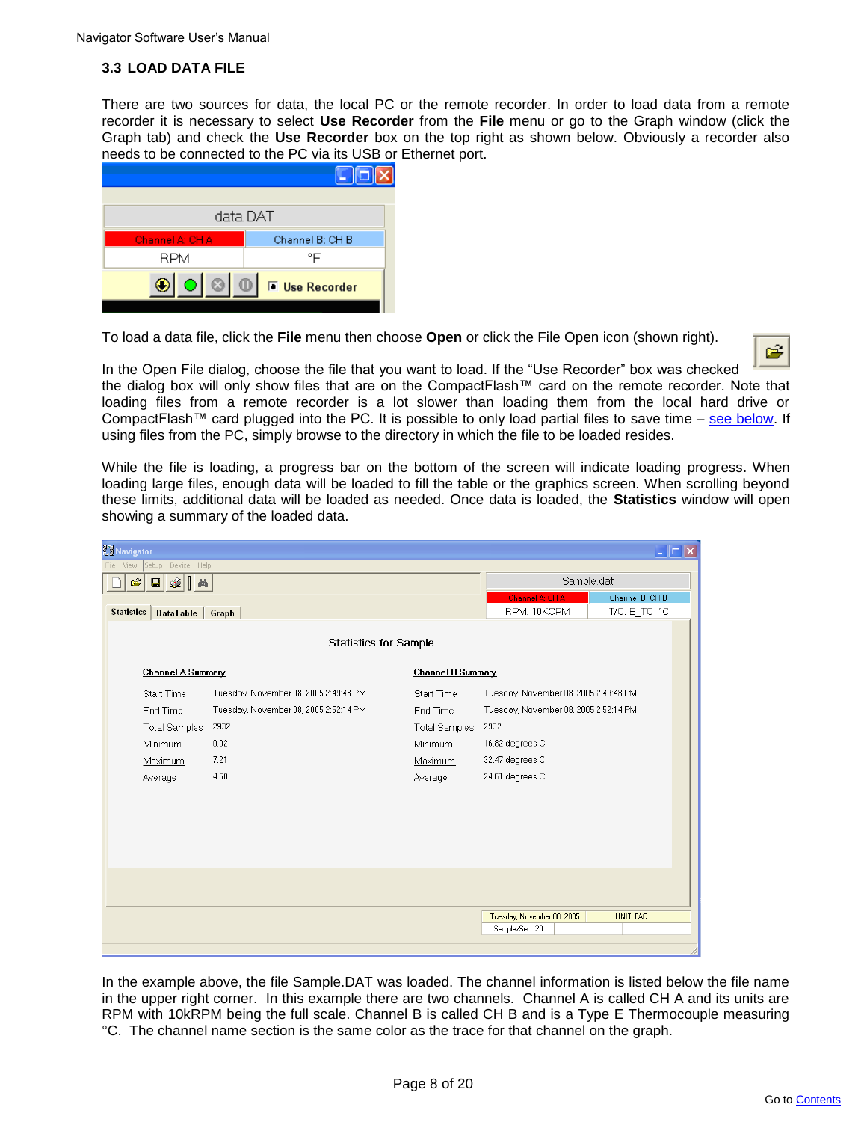# **3.3 LOAD DATA FILE**

There are two sources for data, the local PC or the remote recorder. In order to load data from a remote recorder it is necessary to select **Use Recorder** from the **File** menu or go to the Graph window (click the Graph tab) and check the **Use Recorder** box on the top right as shown below. Obviously a recorder also needs to be connected to the PC via its USB or Ethernet port.



To load a data file, click the **File** menu then choose **Open** or click the File Open icon (shown right).



In the Open File dialog, choose the file that you want to load. If the "Use Recorder" box was checked the dialog box will only show files that are on the CompactFlash™ card on the remote recorder. Note that loading files from a remote recorder is a lot slower than loading them from the local hard drive or CompactFlash™ card plugged into the PC. It is possible to only load partial files to save time – see below. If using files from the PC, simply browse to the directory in which the file to be loaded resides.

While the file is loading, a progress bar on the bottom of the screen will indicate loading progress. When loading large files, enough data will be loaded to fill the table or the graphics screen. When scrolling beyond these limits, additional data will be loaded as needed. Once data is loaded, the **Statistics** window will open showing a summary of the loaded data.

| <b>Zy Navigator</b> |                      |                                       |                      |                                       | $\Box$ o $\times$ |
|---------------------|----------------------|---------------------------------------|----------------------|---------------------------------------|-------------------|
| File<br>View        | Setup<br>Device Help |                                       |                      |                                       |                   |
| Ê                   | 4∥<br>П<br>繭         |                                       |                      | Sample.dat                            |                   |
|                     |                      |                                       |                      | Channel A: CHA                        | Channel B: CH B   |
| <b>Statistics</b>   | DataTable            | Graph                                 |                      | RPM: 10KCPM                           | T/C: E_TC: °C     |
|                     |                      |                                       |                      |                                       |                   |
|                     |                      | <b>Statistics for Sample</b>          |                      |                                       |                   |
|                     | Channel A Summary    |                                       | Channel B Summary    |                                       |                   |
|                     | Start Time           | Tuesday, November 08, 2005 2:49:48 PM | Start Time           | Tuesday, November 08, 2005 2:49:48 PM |                   |
|                     | End Time             | Tuesday, November 08, 2005 2:52:14 PM | End Time             | Tuesday, November 08, 2005 2:52:14 PM |                   |
|                     | <b>Total Samples</b> | 2932                                  | <b>Total Samples</b> | 2932                                  |                   |
|                     | Minimum              | 0.02                                  | Minimum              | 16.82 degrees C                       |                   |
|                     | Maximum              | 7.21                                  | Maximum              | 32.47 degrees C                       |                   |
|                     | Average              | 4.50                                  | Average              | 24.61 degrees C                       |                   |
|                     |                      |                                       |                      |                                       |                   |
|                     |                      |                                       |                      |                                       |                   |
|                     |                      |                                       |                      |                                       |                   |
|                     |                      |                                       |                      |                                       |                   |
|                     |                      |                                       |                      |                                       |                   |
|                     |                      |                                       |                      |                                       |                   |
|                     |                      |                                       |                      |                                       |                   |
|                     |                      |                                       |                      | Tuesday, November 08, 2005            | <b>UNIT TAG</b>   |
|                     |                      |                                       |                      | Sample/Sec: 20                        |                   |
|                     |                      |                                       |                      |                                       |                   |
|                     |                      |                                       |                      |                                       |                   |

In the example above, the file Sample.DAT was loaded. The channel information is listed below the file name in the upper right corner. In this example there are two channels. Channel A is called CH A and its units are RPM with 10kRPM being the full scale. Channel B is called CH B and is a Type E Thermocouple measuring °C. The channel name section is the same color as the trace for that channel on the graph.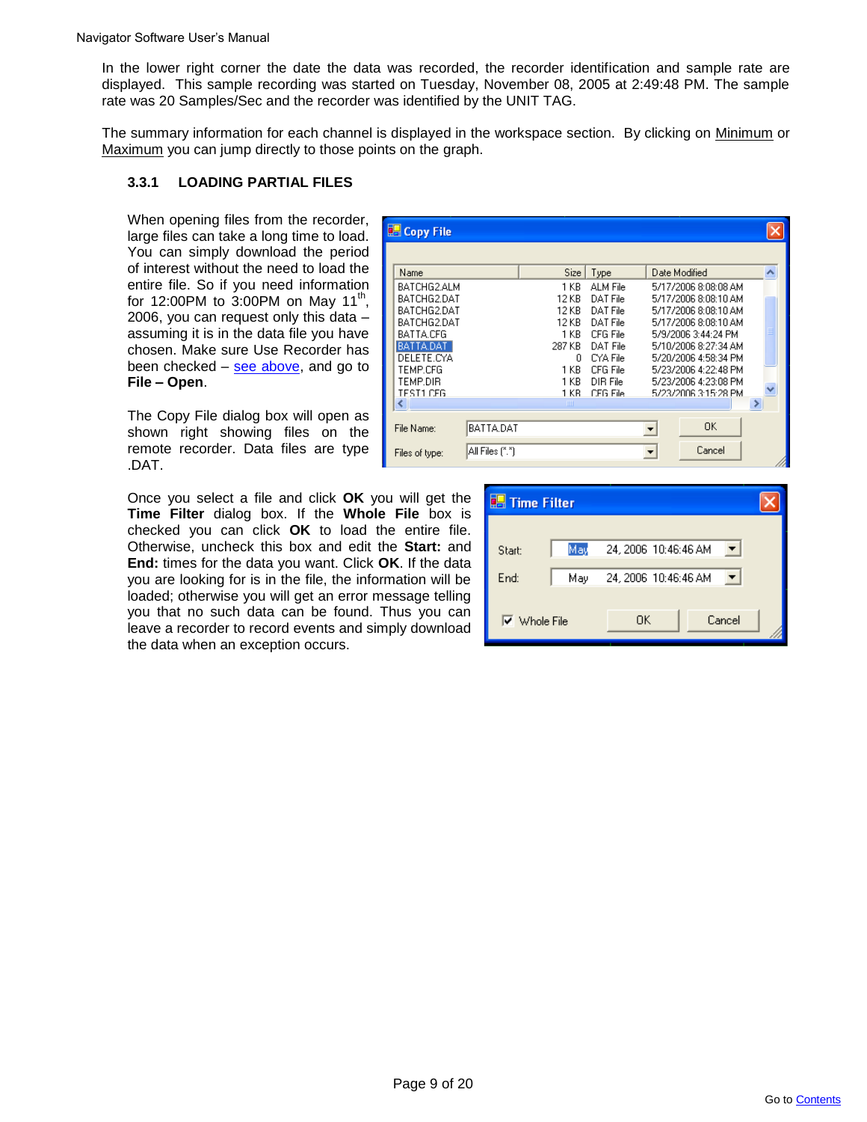In the lower right corner the date the data was recorded, the recorder identification and sample rate are displayed. This sample recording was started on Tuesday, November 08, 2005 at 2:49:48 PM. The sample rate was 20 Samples/Sec and the recorder was identified by the UNIT TAG.

The summary information for each channel is displayed in the workspace section. By clicking on Minimum or Maximum you can jump directly to those points on the graph.

# **3.3.1 LOADING PARTIAL FILES**

When opening files from the recorder, large files can take a long time to load. You can simply download the period of interest without the need to load the entire file. So if you need information for 12:00PM to 3:00PM on May 11<sup>th</sup>, 2006, you can request only this data – assuming it is in the data file you have chosen. Make sure Use Recorder has been checked – see above, and go to **File – Open**.

| <b>E</b> Copy File |                 |             |           |                      |                      |    |
|--------------------|-----------------|-------------|-----------|----------------------|----------------------|----|
|                    |                 |             |           |                      |                      |    |
| Name               |                 | Size        | Type      |                      | Date Modified        |    |
| BATCHG2.ALM        |                 | 1 KB        | ALM File  |                      | 5/17/2006 8:08:08 AM |    |
| BATCHG2.DAT        |                 | 12 KB       | DAT File  |                      | 5/17/2006 8:08:10 AM |    |
| BATCHG2.DAT        |                 | 12 KB       | DAT File  |                      | 5/17/2006 8:08:10 AM |    |
| BATCHG2.DAT        |                 | 12 KB       | DAT File  |                      | 5/17/2006 8:08:10 AM |    |
| BATTA.CFG          |                 | 1 KB.       | CFG File  |                      | 5/9/2006 3:44:24 PM  |    |
| BATTA.DAT          |                 | 287 KB      | DAT File  |                      | 5/10/2006 8:27:34 AM |    |
| DELETE.CYA         |                 | n           | CYA File  |                      | 5/20/2006 4:58:34 PM |    |
| TEMP.CFG           |                 | 1 KB        | CFG File  |                      | 5/23/2006 4:22:48 PM |    |
| TEMP.DIR           |                 | 1 KB.       | DIR File  |                      | 5/23/2006 4:23:08 PM |    |
| TEST1 CEG          |                 | 1 KB.       | CEG File. |                      | 5/23/2006 3:15:28 PM |    |
| ∢                  |                 | <b>TIII</b> |           |                      |                      | ×. |
|                    |                 |             |           |                      |                      |    |
| File Name:         | BATTA.DAT       |             |           | $\blacktriangledown$ | 0K                   |    |
| Files of type:     | All Files (*.*) |             |           |                      | Cancel               |    |
|                    |                 |             |           |                      |                      |    |

The Copy File dialog box will open as shown right showing files on the remote recorder. Data files are type .DAT.

Once you select a file and click **OK** you will get the **Time Filter** dialog box. If the **Whole File** box is checked you can click **OK** to load the entire file. Otherwise, uncheck this box and edit the **Start:** and **End:** times for the data you want. Click **OK**. If the data you are looking for is in the file, the information will be loaded; otherwise you will get an error message telling you that no such data can be found. Thus you can leave a recorder to record events and simply download the data when an exception occurs.

| <b>Time Filter</b>  |     |                      |        |
|---------------------|-----|----------------------|--------|
|                     |     |                      |        |
| Start:              | May | 24, 2006 10:46:46 AM |        |
| End:                | May | 24, 2006 10:46:46 AM |        |
|                     |     |                      |        |
| $\nabla$ Whole File |     | OΚ                   | Cancel |
|                     |     |                      |        |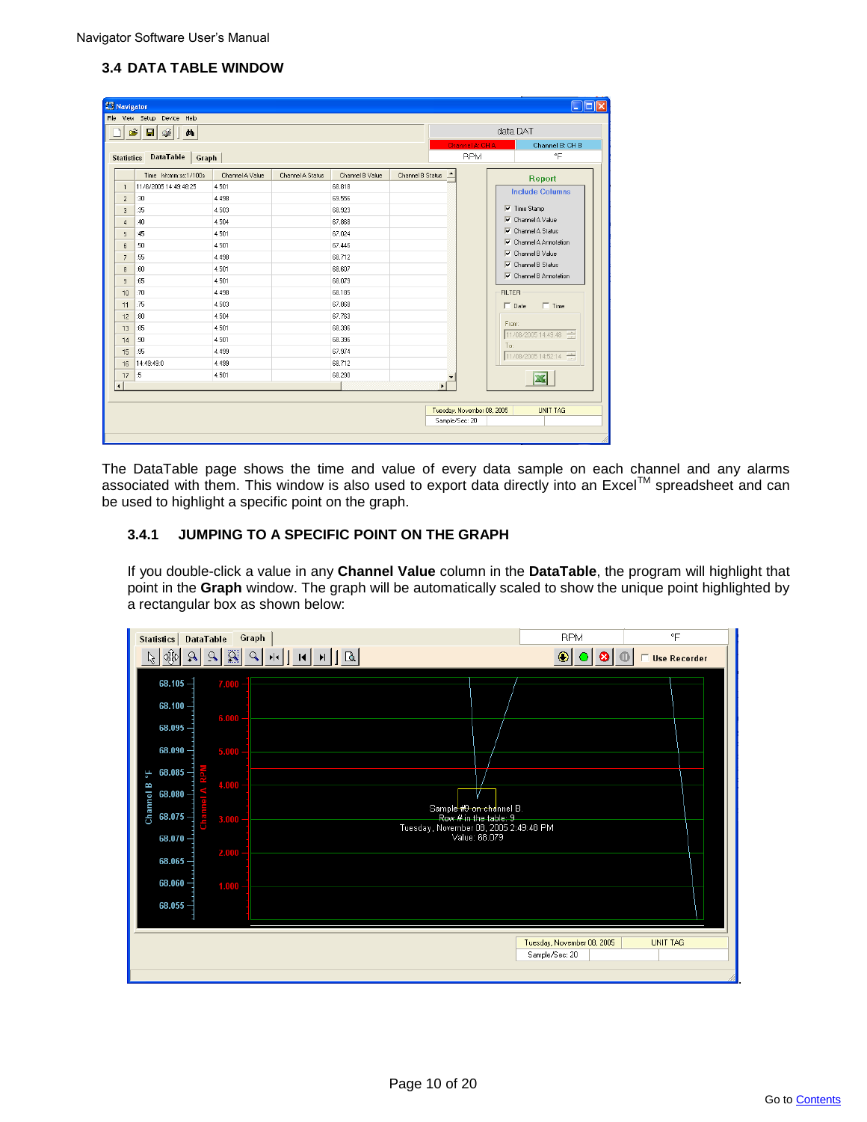# **3.4 DATA TABLE WINDOW**

| <b>R3</b> Navigator  |                                      |                 |                  |                 |                  |                |                            | $\overline{\phantom{a}}$ . $\overline{\phantom{a}}$ . |  |
|----------------------|--------------------------------------|-----------------|------------------|-----------------|------------------|----------------|----------------------------|-------------------------------------------------------|--|
|                      | File View Setup Device Help          |                 |                  |                 |                  |                |                            |                                                       |  |
| É                    | ♔<br>Π<br>த                          |                 |                  |                 |                  |                |                            | data DAT                                              |  |
|                      |                                      |                 |                  |                 |                  |                | Channel A: CHA             | Channel B: CH B                                       |  |
|                      | <b>Statistics DataTable</b><br>Graph |                 |                  |                 |                  |                | <b>RPM</b>                 | °F                                                    |  |
|                      | Time hh:mm:ss:1/100s                 | Channel A Value | Channel A Status | Channel B Value | Channel B Status |                |                            |                                                       |  |
| $\mathbf{1}$         | 11/8/2005 14:49:48:25                | 4.501           |                  | 68.818          |                  |                |                            | Report                                                |  |
| $\overline{c}$       | :30                                  | 4.498           |                  | 69.556          |                  |                |                            | <b>Include Columns</b>                                |  |
| 3                    | :35                                  | 4.503           |                  | 68.923          |                  |                |                            | $\overline{\mathbf{v}}$ Time Stamp                    |  |
| $\overline{4}$       | :40                                  | 4.504           |                  | 67.868          |                  |                |                            | $\nabla$ Channel A Value                              |  |
| 5                    | :45                                  | 4.501           |                  | 67.024          |                  |                | ⊽                          | Channel A Status                                      |  |
| 6                    | :50                                  | 4.501           |                  | 67.446          |                  |                |                            | $\nabla$ Channel A Annotation                         |  |
| $\overline{7}$       | :55                                  | 4.498           |                  | 68.712          |                  |                | ⊽                          | Channel B Value                                       |  |
| 8                    | :60                                  | 4.501           |                  | 68.607          |                  |                |                            | $\nabla$ Channel B Status                             |  |
| 9                    | :65                                  | 4.501           |                  | 68.079          |                  |                |                            | $\nabla$ Channel B Annotation                         |  |
| 10                   | :70                                  | 4.498           |                  | 68.185          |                  |                | <b>FILTER</b>              |                                                       |  |
| 11                   | :75                                  | 4.503           |                  | 67.868          |                  |                |                            | $\Box$ Time<br>$\Box$ Date                            |  |
| 12                   | :80                                  | 4.504           |                  | 67.763          |                  |                |                            |                                                       |  |
| 13                   | :85                                  | 4.501           |                  | 68.396          |                  |                | From:                      |                                                       |  |
| 14                   | :90                                  | 4.501           |                  | 68.396          |                  |                |                            | 11/08/2005 14:49:48                                   |  |
| 15                   | :95                                  | 4.499           |                  | 67.974          |                  |                | To:                        | 11/08/2005 14:52:14                                   |  |
| 16                   | 14:49:49:0                           | 4 4 9 9         |                  | 68.712          |                  |                |                            |                                                       |  |
| 17                   | :5                                   | 4.501           |                  | 68.290          |                  |                |                            |                                                       |  |
| $\blacktriangleleft$ |                                      |                 |                  |                 |                  | ¥              |                            |                                                       |  |
|                      |                                      |                 |                  |                 |                  |                |                            |                                                       |  |
|                      |                                      |                 |                  |                 |                  |                | Tuesday, November 08, 2005 | <b>UNIT TAG</b>                                       |  |
|                      |                                      |                 |                  |                 |                  | Sample/Sec: 20 |                            |                                                       |  |
|                      |                                      |                 |                  |                 |                  |                |                            |                                                       |  |

The DataTable page shows the time and value of every data sample on each channel and any alarms associated with them. This window is also used to export data directly into an Excel™ spreadsheet and can be used to highlight a specific point on the graph.

# **3.4.1 JUMPING TO A SPECIFIC POINT ON THE GRAPH**

If you double-click a value in any **Channel Value** column in the **DataTable**, the program will highlight that point in the **Graph** window. The graph will be automatically scaled to show the unique point highlighted by a rectangular box as shown below:

| Statistics   DataTable                   | Graph                            | <b>RPM</b>                                             | °F              |
|------------------------------------------|----------------------------------|--------------------------------------------------------|-----------------|
| $\frac{1}{2}$<br>$\mathbf{R}$<br>$\beta$ | 9 8 <br> H H B<br>Q<br>$ \cdot $ | $\bullet$                                              | □ Use Recorder  |
| $68.105 -$                               | 7.000                            |                                                        |                 |
| $68.100 -$                               |                                  |                                                        |                 |
| $68.095 -$                               | 6.000                            |                                                        |                 |
| 68.090                                   | 5,000                            |                                                        |                 |
| $68.085 -$<br>٩F                         |                                  |                                                        |                 |
| Channel B<br>68.080                      | 4.000                            |                                                        |                 |
| $68.075 -$<br>Cha                        | 3.000                            | Sample #9 on channel B.<br>Row # in the table: 9       |                 |
| 68.070                                   |                                  | Tuesday, November 08, 2005 2:49:48 PM<br>Value: 68.079 |                 |
| $68.065 -$                               | 2.000                            |                                                        |                 |
| $68.060 -$                               | 1.000                            |                                                        |                 |
| $68.055 -$                               |                                  |                                                        |                 |
|                                          |                                  |                                                        |                 |
|                                          |                                  | Tuesday, November 08, 2005<br>Sample/Sec: 20           | <b>UNIT TAG</b> |
|                                          |                                  |                                                        |                 |

.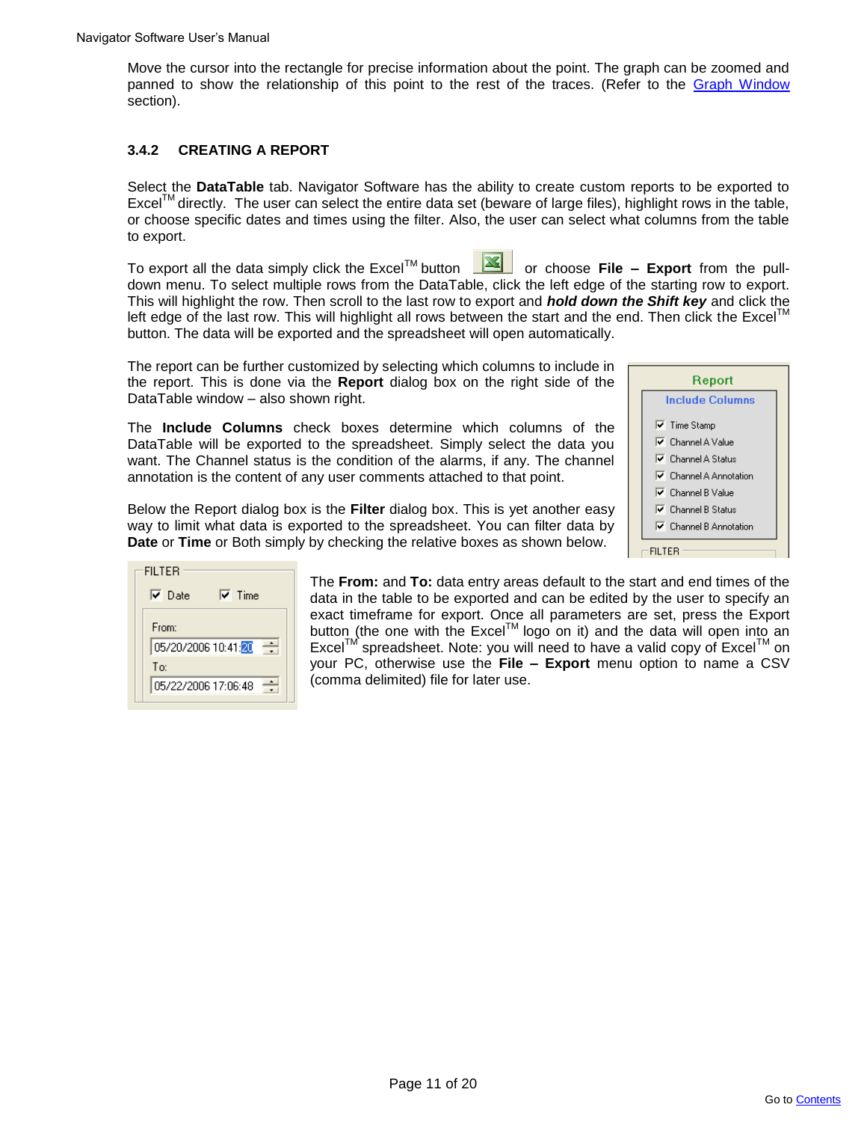Move the cursor into the rectangle for precise information about the point. The graph can be zoomed and panned to show the relationship of this point to the rest of the traces. (Refer to the Graph Window section).

# **3.4.2 CREATING A REPORT**

Select the **DataTable** tab. Navigator Software has the ability to create custom reports to be exported to Excel<sup>IM</sup> directly. The user can select the entire data set (beware of large files), highlight rows in the table, or choose specific dates and times using the filter. Also, the user can select what columns from the table to export.

To export all the data simply click the Excel™ button **NAS** or choose **File – Export** from the pulldown menu. To select multiple rows from the DataTable, click the left edge of the starting row to export. This will highlight the row. Then scroll to the last row to export and *hold down the Shift key* and click the left edge of the last row. This will highlight all rows between the start and the end. Then click the Excel<sup>IM</sup> button. The data will be exported and the spreadsheet will open automatically.

The report can be further customized by selecting which columns to include in the report. This is done via the **Report** dialog box on the right side of the DataTable window – also shown right.

The **Include Columns** check boxes determine which columns of the DataTable will be exported to the spreadsheet. Simply select the data you want. The Channel status is the condition of the alarms, if any. The channel annotation is the content of any user comments attached to that point.

Below the Report dialog box is the **Filter** dialog box. This is yet another easy way to limit what data is exported to the spreadsheet. You can filter data by **Date** or **Time** or Both simply by checking the relative boxes as shown below.



| <b>FILTER</b>                    |
|----------------------------------|
| $\sqrt{ }$ Time<br>$\nabla$ Date |
| From:                            |
| 05/20/2006 10:41:20              |
| Tm                               |
| 05/22/2006 17:06:48              |

The **From:** and **To:** data entry areas default to the start and end times of the data in the table to be exported and can be edited by the user to specify an exact timeframe for export. Once all parameters are set, press the Export button (the one with the Excel™ logo on it) and the data will open into an Excel<sup>™</sup> spreadsheet. Note: you will need to have a valid copy of Excel™ on your PC, otherwise use the **File – Export** menu option to name a CSV (comma delimited) file for later use.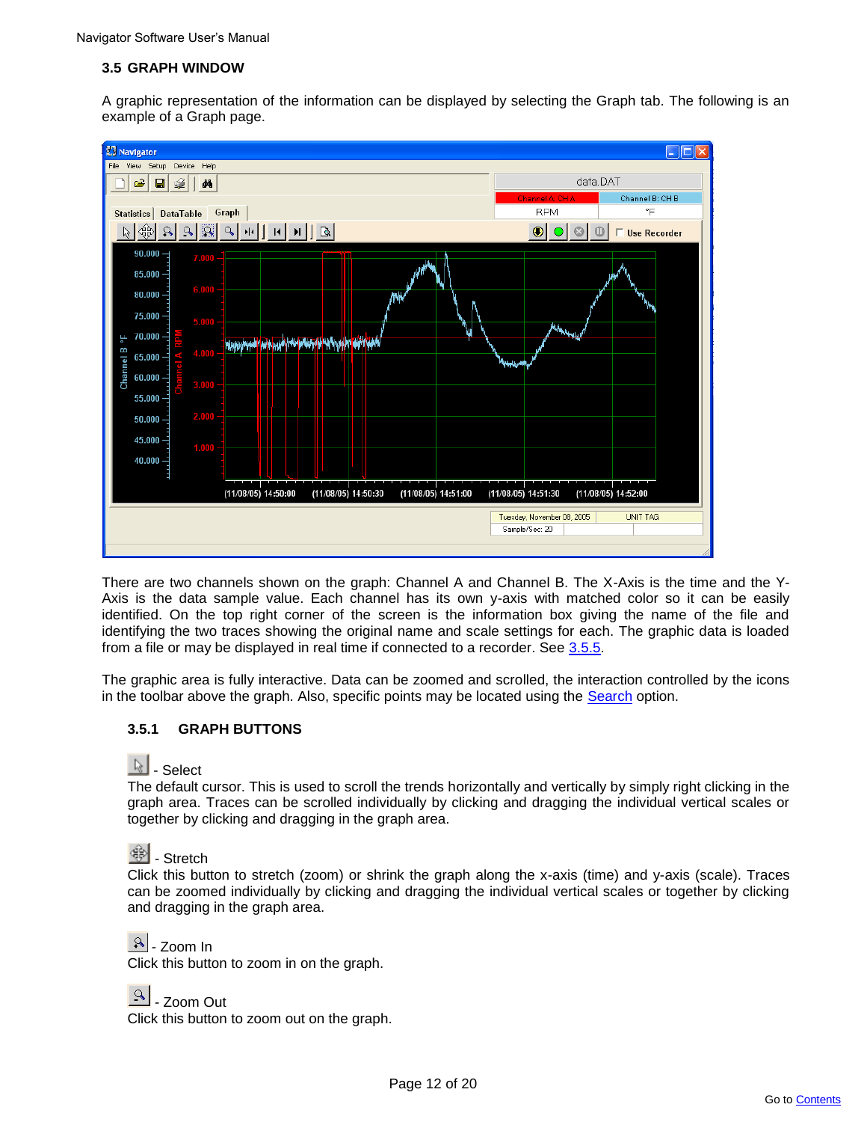# **3.5 GRAPH WINDOW**

A graphic representation of the information can be displayed by selecting the Graph tab. The following is an example of a Graph page.



There are two channels shown on the graph: Channel A and Channel B. The X-Axis is the time and the Y-Axis is the data sample value. Each channel has its own y-axis with matched color so it can be easily identified. On the top right corner of the screen is the information box giving the name of the file and identifying the two traces showing the original name and scale settings for each. The graphic data is loaded from a file or may be displayed in real time if connected to a recorder. See 3.5.5.

The graphic area is fully interactive. Data can be zoomed and scrolled, the interaction controlled by the icons in the toolbar above the graph. Also, specific points may be located using the Search option.

# **3.5.1 GRAPH BUTTONS**

# & - Select

The default cursor. This is used to scroll the trends horizontally and vertically by simply right clicking in the graph area. Traces can be scrolled individually by clicking and dragging the individual vertical scales or together by clicking and dragging in the graph area.

# <sup>4 </sup>- Stretch

Click this button to stretch (zoom) or shrink the graph along the x-axis (time) and y-axis (scale). Traces can be zoomed individually by clicking and dragging the individual vertical scales or together by clicking and dragging in the graph area.



Click this button to zoom in on the graph.

 $\boxed{9}$  - Zoom Out

Click this button to zoom out on the graph.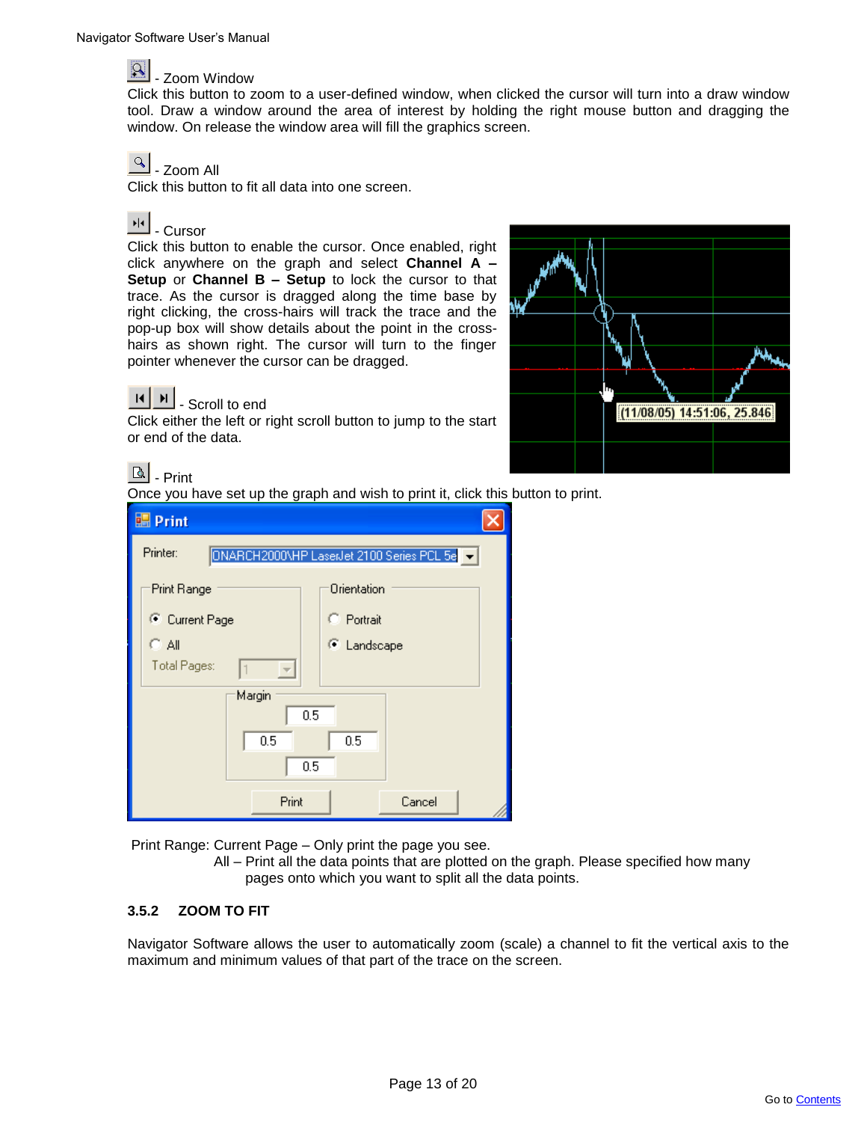

Click this button to zoom to a user-defined window, when clicked the cursor will turn into a draw window tool. Draw a window around the area of interest by holding the right mouse button and dragging the window. On release the window area will fill the graphics screen.

#### $\infty$ - Zoom All

Click this button to fit all data into one screen.

# <sup>II</sup> - Cursor

Click this button to enable the cursor. Once enabled, right click anywhere on the graph and select **Channel A – Setup** or **Channel B – Setup** to lock the cursor to that trace. As the cursor is dragged along the time base by right clicking, the cross-hairs will track the trace and the pop-up box will show details about the point in the crosshairs as shown right. The cursor will turn to the finger pointer whenever the cursor can be dragged.

Click either the left or right scroll button to jump to the start

# $(11/08/05)$  14:51:06, 25.846

# $\lceil \mathsf{a} \rceil$ . Print

 $\blacktriangleright$ 

or end of the data.

- Scroll to end

Once you have set up the graph and wish to print it, click this button to print.

| <b>Print</b>                             |                                           |
|------------------------------------------|-------------------------------------------|
| Printer:                                 | ONARCH2000\HP LaserJet 2100 Series PCL 5e |
| Print Range                              | Orientation                               |
| C Current Page                           | C Portrait                                |
| $C$ All                                  | C Landscape                               |
| Total Pages:<br>$\overline{\mathcal{M}}$ |                                           |
| Margin                                   |                                           |
| 0.5                                      |                                           |
| 0.5                                      | 0.5                                       |
| 0.5                                      |                                           |
| Print                                    | Cancel                                    |

Print Range: Current Page – Only print the page you see.

 All – Print all the data points that are plotted on the graph. Please specified how many pages onto which you want to split all the data points.

# **3.5.2 ZOOM TO FIT**

Navigator Software allows the user to automatically zoom (scale) a channel to fit the vertical axis to the maximum and minimum values of that part of the trace on the screen.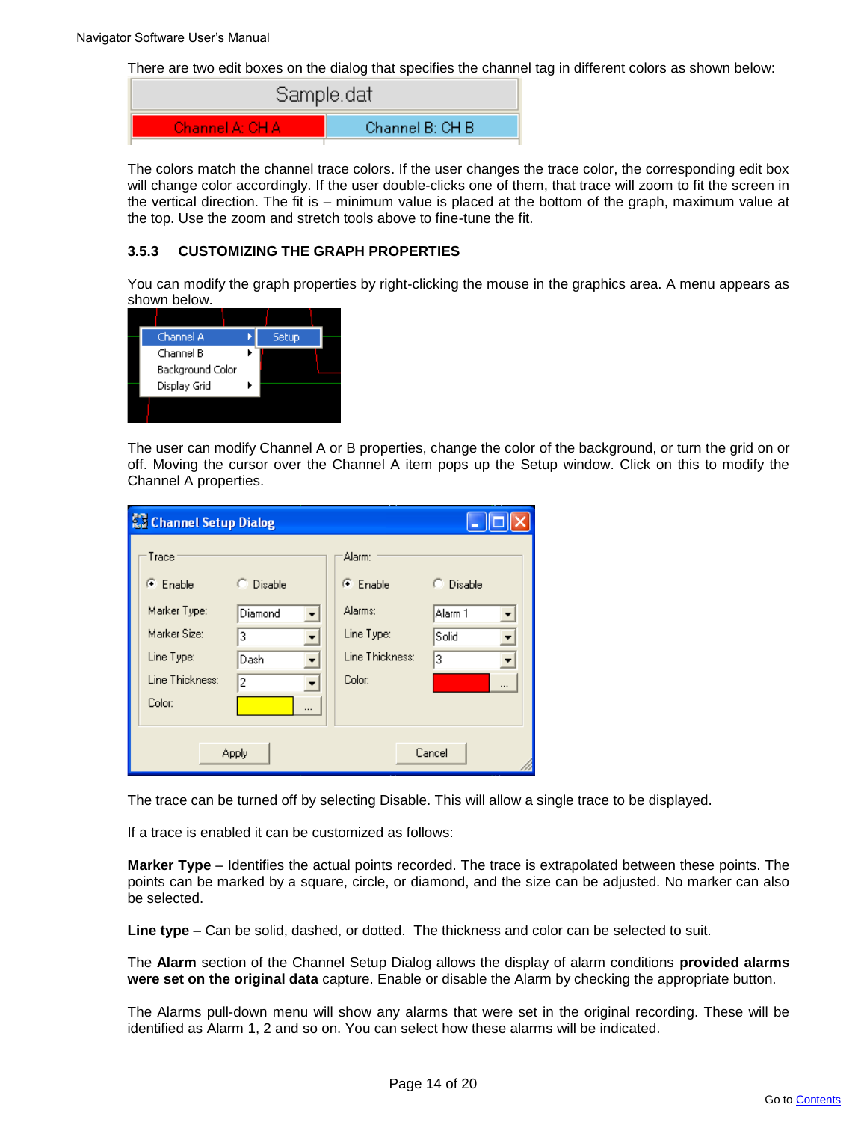There are two edit boxes on the dialog that specifies the channel tag in different colors as shown below:

| Sample.dat               |                  |
|--------------------------|------------------|
| <b>Channel A: CH A I</b> | Channel B: CH B' |

The colors match the channel trace colors. If the user changes the trace color, the corresponding edit box will change color accordingly. If the user double-clicks one of them, that trace will zoom to fit the screen in the vertical direction. The fit is – minimum value is placed at the bottom of the graph, maximum value at the top. Use the zoom and stretch tools above to fine-tune the fit.

# **3.5.3 CUSTOMIZING THE GRAPH PROPERTIES**

You can modify the graph properties by right-clicking the mouse in the graphics area. A menu appears as shown below.

| Channel A        | Setup |  |
|------------------|-------|--|
| Channel B        |       |  |
| Background Color |       |  |
| Display Grid     |       |  |
|                  |       |  |

The user can modify Channel A or B properties, change the color of the background, or turn the grid on or off. Moving the cursor over the Channel A item pops up the Setup window. Click on this to modify the Channel A properties.

| <b>Ko Channel Setup Dialog</b>                                                                       |                                                      |                                                                                       |                                             |
|------------------------------------------------------------------------------------------------------|------------------------------------------------------|---------------------------------------------------------------------------------------|---------------------------------------------|
| Trace<br>$\bullet$ Enable<br>Marker Type:<br>Marker Size:<br>Line Type:<br>Line Thickness:<br>Color: | $\supseteq$ Disable<br>Diamond<br>3<br>Dash<br>2<br> | Alarm:<br>$\binom{2}{3}$ Enable<br>Alarms:<br>Line Type:<br>Line Thickness:<br>Color: | C Disable<br>Alarm 1<br>Solid<br>▼<br>3<br> |
|                                                                                                      | Apply                                                |                                                                                       | Cancel                                      |

The trace can be turned off by selecting Disable. This will allow a single trace to be displayed.

If a trace is enabled it can be customized as follows:

**Marker Type** – Identifies the actual points recorded. The trace is extrapolated between these points. The points can be marked by a square, circle, or diamond, and the size can be adjusted. No marker can also be selected.

**Line type** – Can be solid, dashed, or dotted. The thickness and color can be selected to suit.

The **Alarm** section of the Channel Setup Dialog allows the display of alarm conditions **provided alarms were set on the original data** capture. Enable or disable the Alarm by checking the appropriate button.

The Alarms pull-down menu will show any alarms that were set in the original recording. These will be identified as Alarm 1, 2 and so on. You can select how these alarms will be indicated.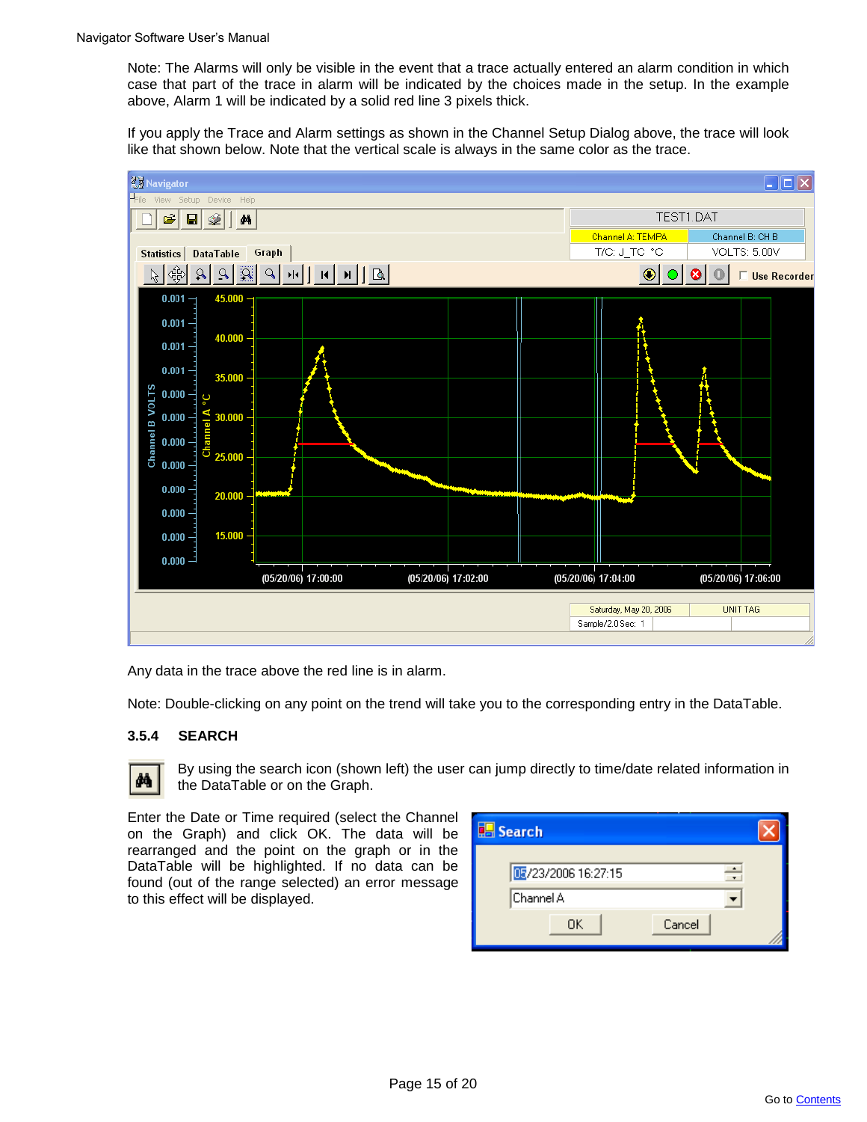Note: The Alarms will only be visible in the event that a trace actually entered an alarm condition in which case that part of the trace in alarm will be indicated by the choices made in the setup. In the example above, Alarm 1 will be indicated by a solid red line 3 pixels thick.

If you apply the Trace and Alarm settings as shown in the Channel Setup Dialog above, the trace will look like that shown below. Note that the vertical scale is always in the same color as the trace.



Any data in the trace above the red line is in alarm.

Note: Double-clicking on any point on the trend will take you to the corresponding entry in the DataTable.

# **3.5.4 SEARCH**



By using the search icon (shown left) the user can jump directly to time/date related information in the DataTable or on the Graph.

Enter the Date or Time required (select the Channel on the Graph) and click OK. The data will be rearranged and the point on the graph or in the DataTable will be highlighted. If no data can be found (out of the range selected) an error message to this effect will be displayed.

| $\boxplus$ Search  |  |
|--------------------|--|
| 图/23/2006 16:27:15 |  |
| Channel A          |  |
| OΚ<br>Cancel       |  |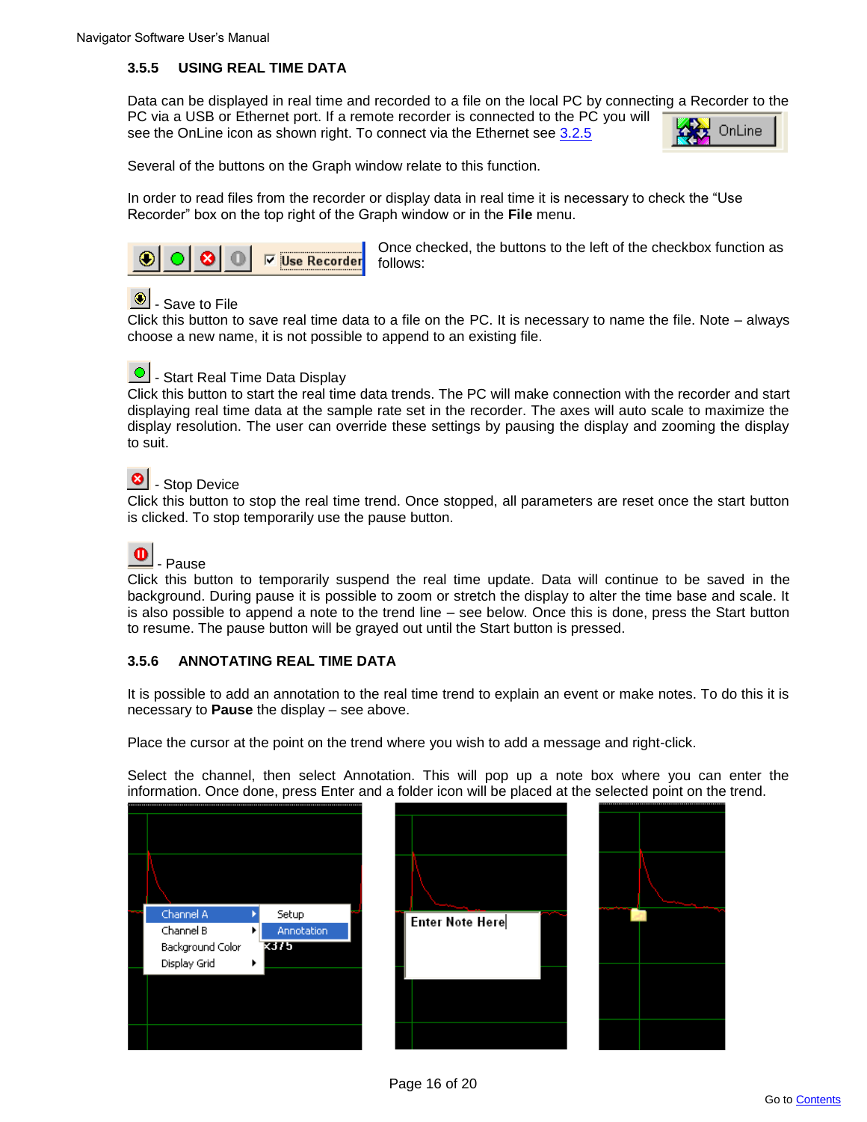# **3.5.5 USING REAL TIME DATA**

Data can be displayed in real time and recorded to a file on the local PC by connecting a Recorder to the PC via a USB or Ethernet port. If a remote recorder is connected to the PC you will OnLine see the OnLine icon as shown right. To connect via the Ethernet see 3.2.5



Several of the buttons on the Graph window relate to this function.

In order to read files from the recorder or display data in real time it is necessary to check the "Use Recorder" box on the top right of the Graph window or in the **File** menu.



Once checked, the buttons to the left of the checkbox function as follows:

# $\bigcirc$  - Save to File

Click this button to save real time data to a file on the PC. It is necessary to name the file. Note – always choose a new name, it is not possible to append to an existing file.



**O** - Start Real Time Data Display

Click this button to start the real time data trends. The PC will make connection with the recorder and start displaying real time data at the sample rate set in the recorder. The axes will auto scale to maximize the display resolution. The user can override these settings by pausing the display and zooming the display to suit.

#### $| \bullet |$ - Stop Device

Click this button to stop the real time trend. Once stopped, all parameters are reset once the start button is clicked. To stop temporarily use the pause button.



# - Pause

Click this button to temporarily suspend the real time update. Data will continue to be saved in the background. During pause it is possible to zoom or stretch the display to alter the time base and scale. It is also possible to append a note to the trend line – see below. Once this is done, press the Start button to resume. The pause button will be grayed out until the Start button is pressed.

# **3.5.6 ANNOTATING REAL TIME DATA**

It is possible to add an annotation to the real time trend to explain an event or make notes. To do this it is necessary to **Pause** the display – see above.

Place the cursor at the point on the trend where you wish to add a message and right-click.

Select the channel, then select Annotation. This will pop up a note box where you can enter the information. Once done, press Enter and a folder icon will be placed at the selected point on the trend.



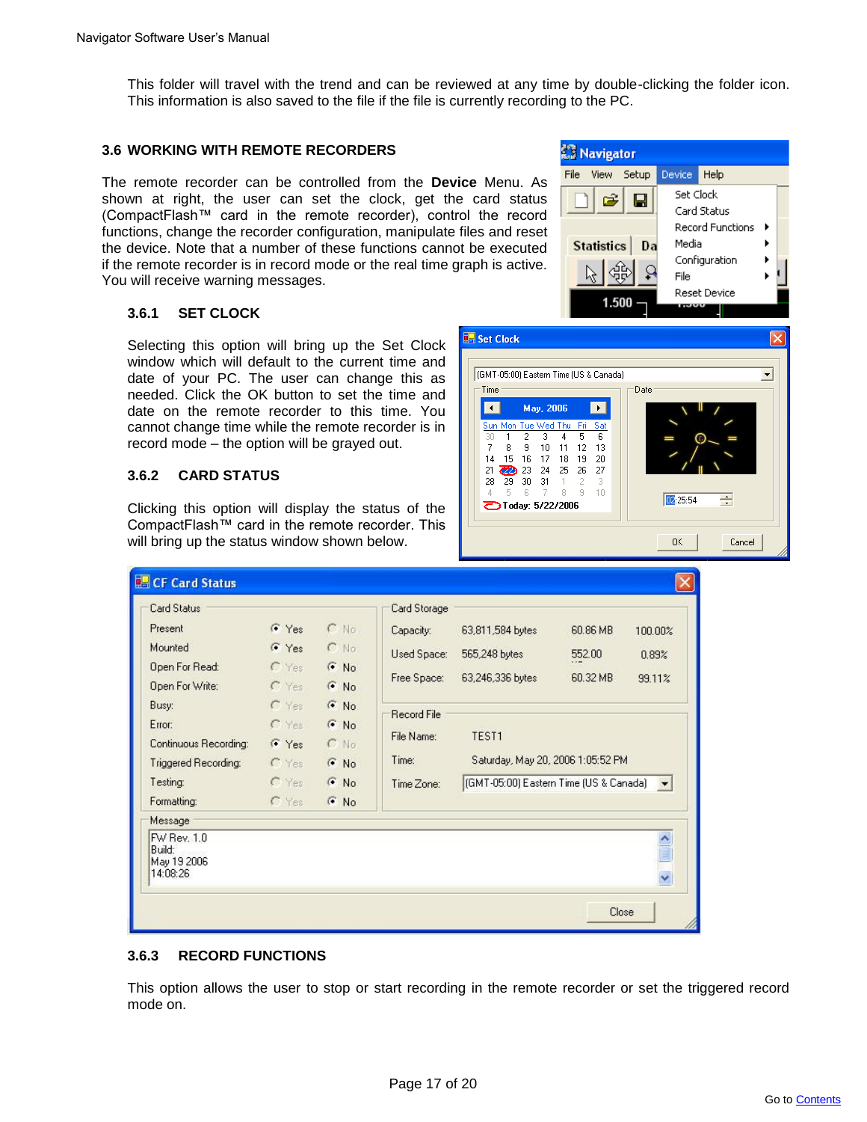This folder will travel with the trend and can be reviewed at any time by double-clicking the folder icon. This information is also saved to the file if the file is currently recording to the PC.

**B** Set Clock

Time

 $\blacksquare$ 

 $\overline{7}$ 8  $\overline{3}$ 

 $14$ 21 **22** 23

28 29 30 31

**つToday: 5/22/2006** 

(GMT-05:00) Eastern Time (US & Canada)

May, 2006

Tue Wed Thu  $\overline{4}$ 5  $\overline{6}$ 

15 16 17 18 19 20

 $10$   $11$   $12$ 

24 25 26

 $\,$  1  $\mathbf{R}$ 9  $10$ 

#### **3.6 WORKING WITH REMOTE RECORDERS**

The remote recorder can be controlled from the **Device** Menu. As shown at right, the user can set the clock, get the card status (CompactFlash™ card in the remote recorder), control the record functions, change the recorder configuration, manipulate files and reset the device. Note that a number of these functions cannot be executed if the remote recorder is in record mode or the real time graph is active. You will receive warning messages.

# **3.6.1 SET CLOCK**

Selecting this option will bring up the Set Clock window which will default to the current time and date of your PC. The user can change this as needed. Click the OK button to set the time and date on the remote recorder to this time. You cannot change time while the remote recorder is in record mode – the option will be grayed out.

### **3.6.2 CARD STATUS**

Clicking this option will display the status of the CompactFlash™ card in the remote recorder. This will bring up the status window shown below.

| <b>Card Status</b>                                                                                  |                                                                                |                                                                         | Card Storage                                                         |                                                                               |                                |                                   |
|-----------------------------------------------------------------------------------------------------|--------------------------------------------------------------------------------|-------------------------------------------------------------------------|----------------------------------------------------------------------|-------------------------------------------------------------------------------|--------------------------------|-----------------------------------|
| Present<br>Mounted<br>Open For Read:<br>Open For Write:<br>Busy:<br>Error:<br>Continuous Recording: | $C$ Yes<br>Ves<br>$\Gamma$ Yes<br>$C$ Yes<br>$\Gamma$ Yes<br>$C$ Yes<br>$V$ es | $C$ No<br>$C$ No<br>$F$ No.<br>$F$ No<br>$G$ No<br>$\odot$ No<br>$C$ No | Capacity:<br>Used Space:<br>Free Space:<br>Record File<br>File Name: | 63,811,584 bytes<br>565,248 bytes<br>63,246,336 bytes<br>TEST1                | 60.86 MB<br>552.00<br>60.32 MB | 100.00%<br>0.89%<br>99.11%        |
| Triggered Recording:<br>Testing:                                                                    | $\Gamma$ Yes<br>$C$ Yes                                                        | G No<br>$\odot$ No                                                      | Time:<br>Time Zone:                                                  | Saturday, May 20, 2006 1:05:52 PM<br>(GMT-05:00) Eastern Time (US & Canada) v |                                |                                   |
| Formatting:                                                                                         | $C$ Yes                                                                        | $\odot$ No                                                              |                                                                      |                                                                               |                                |                                   |
| Message                                                                                             |                                                                                |                                                                         |                                                                      |                                                                               |                                |                                   |
| FW Rev. 1.0<br>Build:<br>May 19 2006<br>14:08:26                                                    |                                                                                |                                                                         |                                                                      |                                                                               |                                | $\frac{\lambda}{\mathbb{E}}$<br>Y |

# **3.6.3 RECORD FUNCTIONS**

This option allows the user to stop or start recording in the remote recorder or set the triggered record mode on.



Date

02:25:54

**nk** 

÷

Cancel

 $\overline{\phantom{a}}$ 

13

27

 $\overline{\phantom{0}}$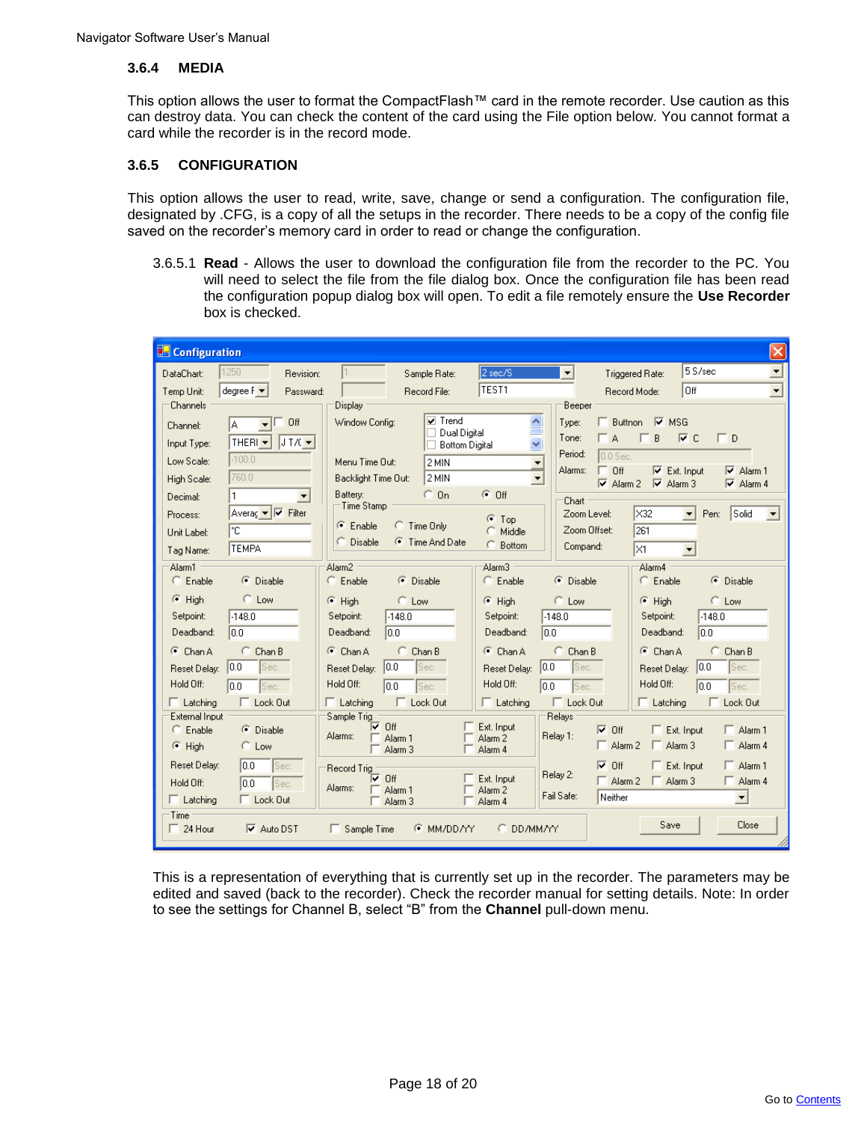#### **3.6.4 MEDIA**

This option allows the user to format the CompactFlash™ card in the remote recorder. Use caution as this can destroy data. You can check the content of the card using the File option below. You cannot format a card while the recorder is in the record mode.

# **3.6.5 CONFIGURATION**

This option allows the user to read, write, save, change or send a configuration. The configuration file, designated by .CFG, is a copy of all the setups in the recorder. There needs to be a copy of the config file saved on the recorder's memory card in order to read or change the configuration.

3.6.5.1 **Read** - Allows the user to download the configuration file from the recorder to the PC. You will need to select the file from the file dialog box. Once the configuration file has been read the configuration popup dialog box will open. To edit a file remotely ensure the **Use Recorder** box is checked.

| <b>Configuration</b>                                                                            |                                                                                       |                                                                                                                    | $\times$                                                                                                                                                            |
|-------------------------------------------------------------------------------------------------|---------------------------------------------------------------------------------------|--------------------------------------------------------------------------------------------------------------------|---------------------------------------------------------------------------------------------------------------------------------------------------------------------|
| 1250<br>DataChart:                                                                              | Revision:<br>Sample Rate:                                                             | 2 sec/S<br>TEST <sub>1</sub>                                                                                       | 5S/sec<br>$\overline{\phantom{a}}$<br>$\overline{\phantom{a}}$<br>Triggered Rate:<br>loff                                                                           |
| degree F $\blacktriangledown$<br>Temp Unit:<br>Channels                                         | Passward:<br>Record File:<br>Display                                                  |                                                                                                                    | $\blacktriangledown$<br>Record Mode:<br>Beeper                                                                                                                      |
| Off<br>IA.<br>Channel: I<br>THERI $\vert \cdot \vert$<br>JIX<br>Input Type:                     | Window Config:                                                                        | $\triangledown$ Trend<br>$\boldsymbol{\wedge}$<br>$\equiv$<br>Dual Digital<br>$\ddotmark$<br><b>Bottom Digital</b> | $\Box$ Buttnon<br> ⊽<br><b>MSG</b><br>Type:<br>B<br>$\triangledown$ C<br>$\Box$<br>Tone:<br>T A<br>Period:<br>$0.0$ Sec.                                            |
| $-100.0$<br>Low Scale:<br>760.0                                                                 | Menu Time Out:<br>2 MIN                                                               | ▼                                                                                                                  | Off<br>Alarms:<br>$\nabla$ Alarm 1<br>$\nabla$ Ext. Input                                                                                                           |
| High Scale:<br>1<br>Decimal:                                                                    | 2 MIN<br>Backlight Time Out:<br>$C_0$<br>Battery:                                     | $\overline{\phantom{a}}$<br>$G$ Off                                                                                | $\overline{\triangledown}$ Alarm 2<br>$\overline{\triangledown}$ Alarm 3<br>$\overline{\triangledown}$ Alarm 4                                                      |
| Averag ▼ V Filter<br>Process:<br>۴C<br>Unit Label:<br><b>TEMPA</b><br>Tag Name:                 | Time Stamp<br>$\bullet$ Enable<br>C Time Only<br>C Disable<br><b>C</b> Time And Date  | σ<br>Top<br>Middle<br>C Bottom                                                                                     | Chart<br>IX32<br>Solid<br>Zoom Level:<br>Pen:<br>$\blacktriangledown$<br>$\blacktriangledown$<br>Zoom Offset:<br>261<br>Compand:<br>lx1<br>$\blacktriangledown$     |
| Alarm1<br>$C$ Enable<br>C Disable                                                               | Alarm <sub>2</sub><br>$C$ Enable<br>C Disable                                         | Alarm <sub>3</sub><br>$C$ Enable                                                                                   | Alarm4<br><b>C</b> Disable<br><b>C</b> Disable<br>$C$ Enable                                                                                                        |
| $C$ Low<br>$F$ High<br>Setpoint:<br>$-148.0$<br>Deadband:<br>0.0                                | $F$ High<br>$C$ Low<br>$-148.0$<br>Setpoint:<br>Deadband:<br>10.0                     | $F$ High<br>Setpoint:<br>Deadband:                                                                                 | $C$ Low<br>$C$ Low<br>$F$ High<br>$-148.0$<br>$-148.0$<br>Setpoint:<br>Deadband:<br>0.0<br>10.0                                                                     |
| $C$ Chan B<br>$\bullet$ Chan A<br> 0.0 <br>Sec.<br>Reset Delay:<br>Hold Off:<br>loo<br>Sec.     | $C$ Chan B<br>$G$ Chan A<br> 0.0 <br>Sec.<br>Reset Delay:<br>Hold Off:<br>loo<br>Sec. | $G$ Chan A<br>Reset Delay:<br>Hold Off:                                                                            | $C$ Chan B<br>$\bullet$ Chan A<br>$C$ Chan B<br> 0.0 <br> 0.0 <br>Sec.<br>Sec.<br>Reset Delay:<br>Hold Off:<br>lo o<br>lo o<br>Sec.<br>Sec.                         |
| $\Box$ Lock Out<br>$\Box$ Latching                                                              | $\Box$ Lock Out<br>$\Box$ Latching                                                    | $\Box$ Latching                                                                                                    | $\Box$ Lock Out<br>$\Box$ Latching<br>Lock Out                                                                                                                      |
| External Input<br>$C$ Enable<br>C Disable<br>$F$ High<br>C Low                                  | Sample Trig<br>⊽<br>Off<br>Alarms:<br>Alarm <sub>1</sub><br>Alarm <sub>3</sub>        | Ext. Input<br>Alarm <sub>2</sub><br>Alarm 4                                                                        | Relays<br>$\nabla$ Off<br>$\Box$ Ext. Input<br>$\Box$ Alarm 1<br>Relay 1:<br>$\Box$ Alarm 3<br>$\Box$ Alarm 2<br>$\Box$ Alarm 4                                     |
| Reset Delay:<br>10.0<br>Sec.<br>Hold Off:<br>10.0<br>Sec.<br>$\Box$ Latching<br>$\Box$ Lock Out | <b>Record Trig</b><br>l⊽ Off<br>Alarms:<br>Alarm 1<br>Alarm 3                         | Ext. Input<br>Alarm <sub>2</sub><br>Alarm 4                                                                        | $\nabla$ Off<br>$\Box$ Ext. Input<br>$\Box$ Alarm 1<br>Relay 2:<br>$\Box$ Alarm 2 $\Box$ Alarm 3<br>$\Box$ Alarm 4<br>Fail Safe:<br>Neither<br>$\blacktriangledown$ |
| Time:<br>$\Box$ 24 Hour<br>$\overline{\triangledown}$ Auto DST                                  | $\Box$ Sample Time                                                                    | C DD/MM/YY<br><b>E MM/DD/YY</b>                                                                                    | Save<br>Close                                                                                                                                                       |

This is a representation of everything that is currently set up in the recorder. The parameters may be edited and saved (back to the recorder). Check the recorder manual for setting details. Note: In order to see the settings for Channel B, select "B" from the **Channel** pull-down menu.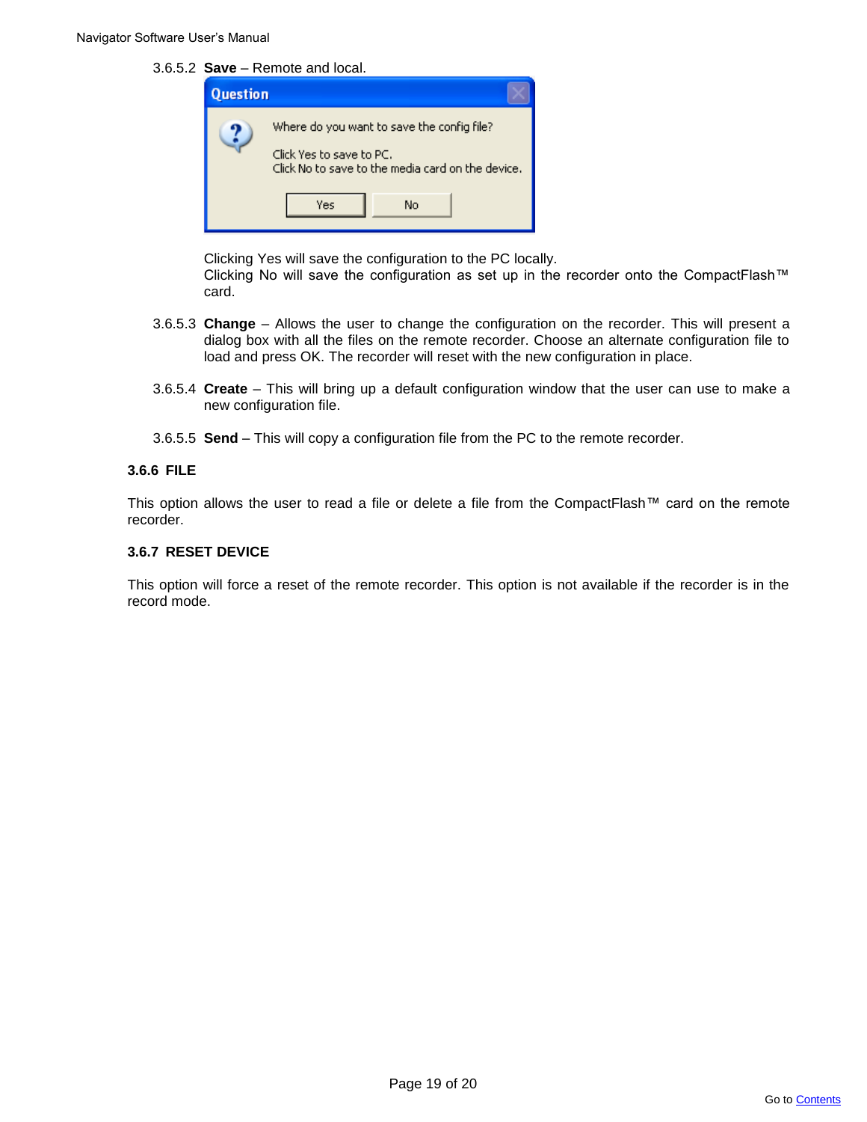3.6.5.2 **Save** – Remote and local.

| Question |                                                                                                                                          |
|----------|------------------------------------------------------------------------------------------------------------------------------------------|
|          | Where do you want to save the config file?<br>Click Yes to save to PC.<br>Click No to save to the media card on the device.<br>Yes<br>No |

Clicking Yes will save the configuration to the PC locally.

Clicking No will save the configuration as set up in the recorder onto the CompactFlash™ card.

- 3.6.5.3 **Change** Allows the user to change the configuration on the recorder. This will present a dialog box with all the files on the remote recorder. Choose an alternate configuration file to load and press OK. The recorder will reset with the new configuration in place.
- 3.6.5.4 **Create** This will bring up a default configuration window that the user can use to make a new configuration file.
- 3.6.5.5 **Send** This will copy a configuration file from the PC to the remote recorder.

# **3.6.6 FILE**

This option allows the user to read a file or delete a file from the CompactFlash™ card on the remote recorder.

### **3.6.7 RESET DEVICE**

This option will force a reset of the remote recorder. This option is not available if the recorder is in the record mode.